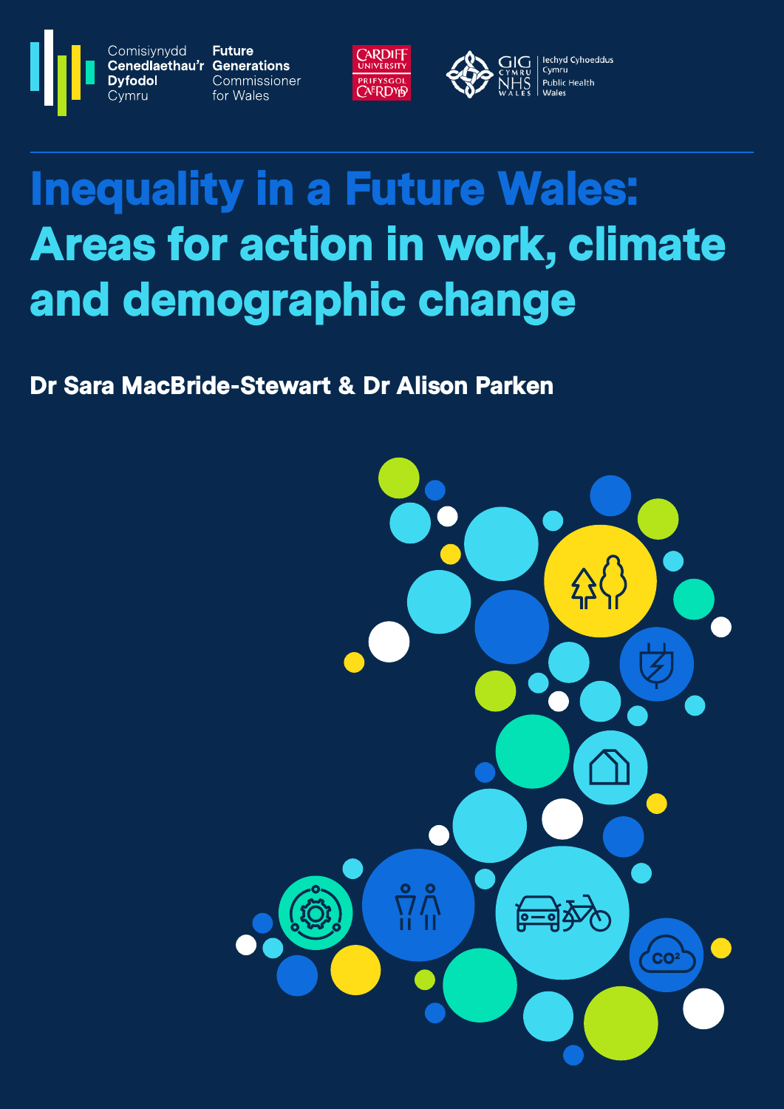**Future** Cenedlaethau'r Generations Commissioner for Wales

Comisiynydd

**Dyfodol** 

Cvmru



lechyd Cyhoeddus GIG Cymru **Public Health** 

# Inequality in a Future Wales: Areas for action in work, climate and demographic change

Dr Sara MacBride-Stewart & Dr Alison Parken

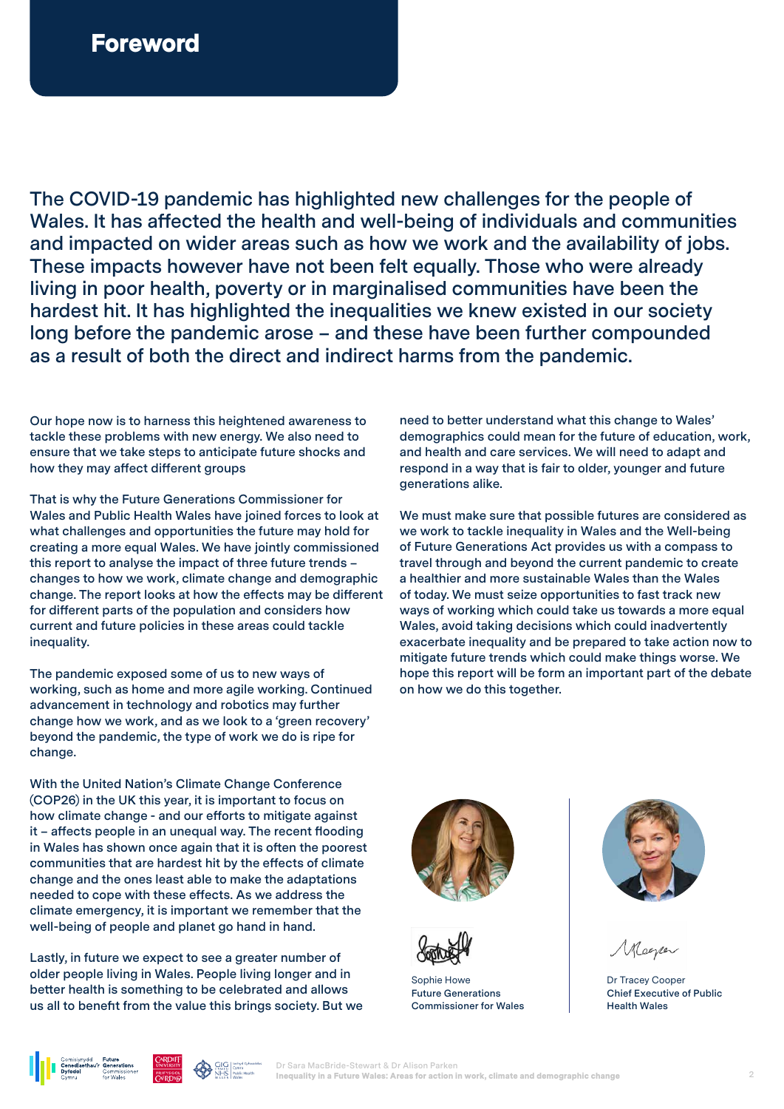**The COVID-19 pandemic has highlighted new challenges for the people of Wales. It has affected the health and well-being of individuals and communities and impacted on wider areas such as how we work and the availability of jobs. These impacts however have not been felt equally. Those who were already living in poor health, poverty or in marginalised communities have been the hardest hit. It has highlighted the inequalities we knew existed in our society long before the pandemic arose – and these have been further compounded as a result of both the direct and indirect harms from the pandemic.** 

**Our hope now is to harness this heightened awareness to tackle these problems with new energy. We also need to ensure that we take steps to anticipate future shocks and how they may affect different groups**

**That is why the Future Generations Commissioner for Wales and Public Health Wales have joined forces to look at what challenges and opportunities the future may hold for creating a more equal Wales. We have jointly commissioned this report to analyse the impact of three future trends – changes to how we work, climate change and demographic change. The report looks at how the effects may be different for different parts of the population and considers how current and future policies in these areas could tackle inequality.**

**The pandemic exposed some of us to new ways of working, such as home and more agile working. Continued advancement in technology and robotics may further change how we work, and as we look to a 'green recovery' beyond the pandemic, the type of work we do is ripe for change.** 

**With the United Nation's Climate Change Conference (COP26) in the UK this year, it is important to focus on how climate change - and our efforts to mitigate against it – affects people in an unequal way. The recent flooding in Wales has shown once again that it is often the poorest communities that are hardest hit by the effects of climate change and the ones least able to make the adaptations needed to cope with these effects. As we address the climate emergency, it is important we remember that the well-being of people and planet go hand in hand.** 

**Lastly, in future we expect to see a greater number of older people living in Wales. People living longer and in better health is something to be celebrated and allows us all to benefit from the value this brings society. But we**  **need to better understand what this change to Wales' demographics could mean for the future of education, work, and health and care services. We will need to adapt and respond in a way that is fair to older, younger and future generations alike.** 

**We must make sure that possible futures are considered as we work to tackle inequality in Wales and the Well-being of Future Generations Act provides us with a compass to travel through and beyond the current pandemic to create a healthier and more sustainable Wales than the Wales of today. We must seize opportunities to fast track new ways of working which could take us towards a more equal Wales, avoid taking decisions which could inadvertently exacerbate inequality and be prepared to take action now to mitigate future trends which could make things worse. We hope this report will be form an important part of the debate on how we do this together.** 





Sophie Howe **Future Generations Commissioner for Wales**



Dr Tracey Cooper **Chief Executive of Public Health Wales** 



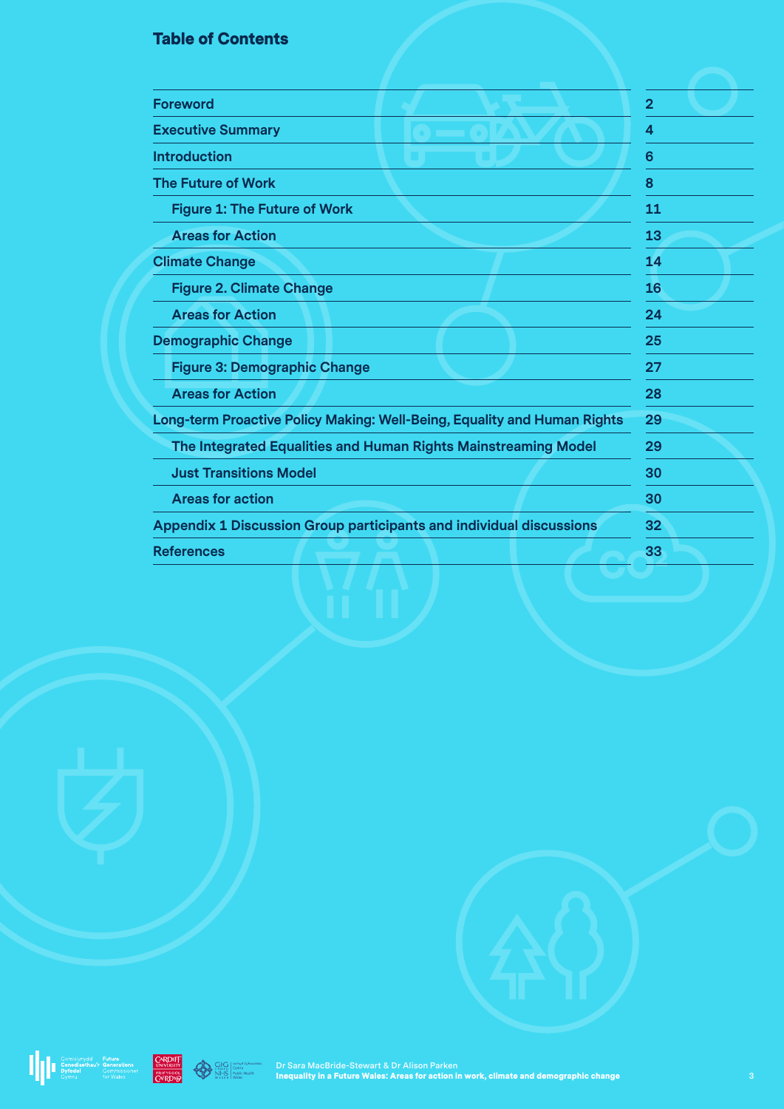### Table of Contents

| <b>Foreword</b>                                                            | $\overline{2}$ |
|----------------------------------------------------------------------------|----------------|
| <b>Executive Summary</b>                                                   | 4              |
| <b>Introduction</b>                                                        | 6              |
| <b>The Future of Work</b>                                                  | 8              |
| <b>Figure 1: The Future of Work</b>                                        | 11             |
| <b>Areas for Action</b>                                                    | 13             |
| <b>Climate Change</b>                                                      | 14             |
| <b>Figure 2. Climate Change</b>                                            | 16             |
| <b>Areas for Action</b>                                                    | 24             |
| <b>Demographic Change</b>                                                  | 25             |
| <b>Figure 3: Demographic Change</b>                                        | 27             |
| <b>Areas for Action</b>                                                    | 28             |
| Long-term Proactive Policy Making: Well-Being, Equality and Human Rights   | 29             |
| The Integrated Equalities and Human Rights Mainstreaming Model             | 29             |
| <b>Just Transitions Model</b>                                              | 30             |
| <b>Areas for action</b>                                                    | 30             |
| <b>Appendix 1 Discussion Group participants and individual discussions</b> | 32             |
| <b>References</b>                                                          | 33             |



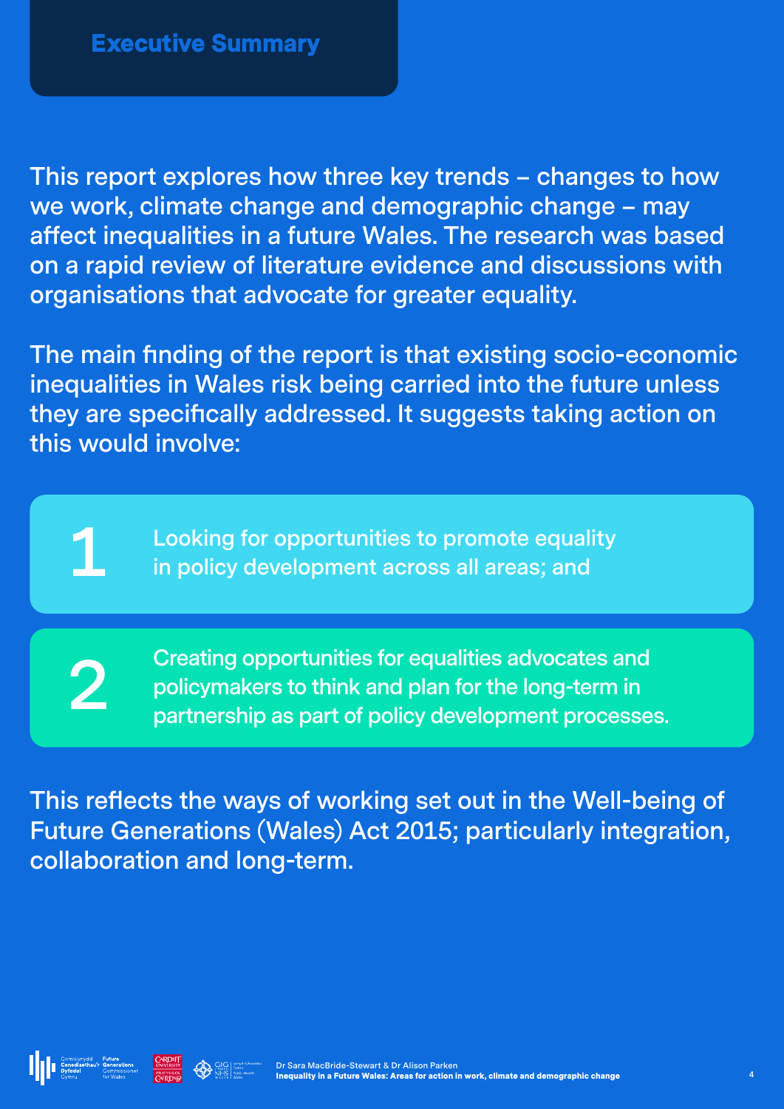**This report explores how three key trends – changes to how we work, climate change and demographic change – may affect inequalities in a future Wales. The research was based on a rapid review of literature evidence and discussions with organisations that advocate for greater equality.** 

**The main finding of the report is that existing socio-economic inequalities in Wales risk being carried into the future unless they are specifically addressed. It suggests taking action on this would involve:**

**Looking for opportunities to promote equality 1 in policy development across all areas; and**

**2 Creating opportunities for equalities advocates and policymakers to think and plan for the long-term in partnership as part of policy development processe policymakers to think and plan for the long-term in partnership as part of policy development processes.**

**This reflects the ways of working set out in the Well-being of Future Generations (Wales) Act 2015; particularly integration, collaboration and long-term.** 



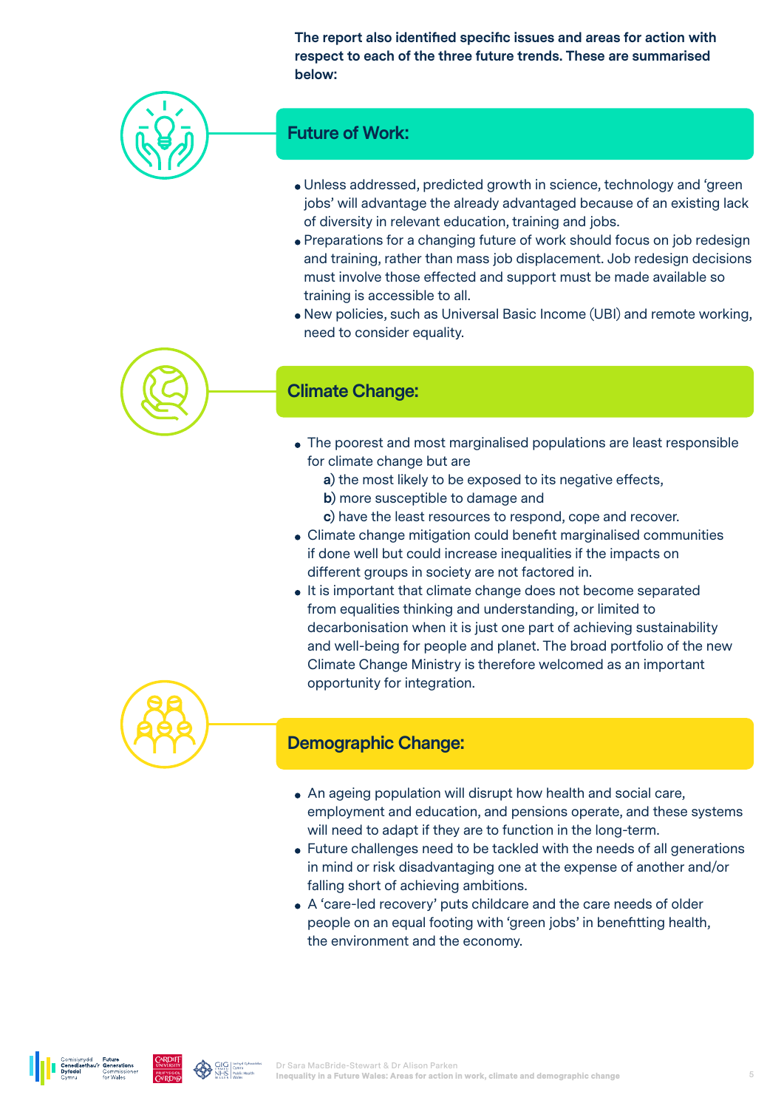**The report also identified specific issues and areas for action with respect to each of the three future trends. These are summarised below:** 



#### **Future of Work:**

- Unless addressed, predicted growth in science, technology and 'green jobs' will advantage the already advantaged because of an existing lack of diversity in relevant education, training and jobs.
- Preparations for a changing future of work should focus on job redesign and training, rather than mass job displacement. Job redesign decisions must involve those effected and support must be made available so training is accessible to all.
- New policies, such as Universal Basic Income (UBI) and remote working, need to consider equality.



#### **Climate Change:**

- The poorest and most marginalised populations are least responsible for climate change but are
	- **a)** the most likely to be exposed to its negative effects,
	- **b**) more susceptible to damage and
	- **c)** have the least resources to respond, cope and recover.
- Climate change mitigation could benefit marginalised communities if done well but could increase inequalities if the impacts on different groups in society are not factored in.
- It is important that climate change does not become separated from equalities thinking and understanding, or limited to decarbonisation when it is just one part of achieving sustainability and well-being for people and planet. The broad portfolio of the new Climate Change Ministry is therefore welcomed as an important opportunity for integration.



#### **Demographic Change:**

- An ageing population will disrupt how health and social care, employment and education, and pensions operate, and these systems will need to adapt if they are to function in the long-term.
- Future challenges need to be tackled with the needs of all generations in mind or risk disadvantaging one at the expense of another and/or falling short of achieving ambitions.
- A 'care-led recovery' puts childcare and the care needs of older people on an equal footing with 'green jobs' in benefitting health, the environment and the economy.



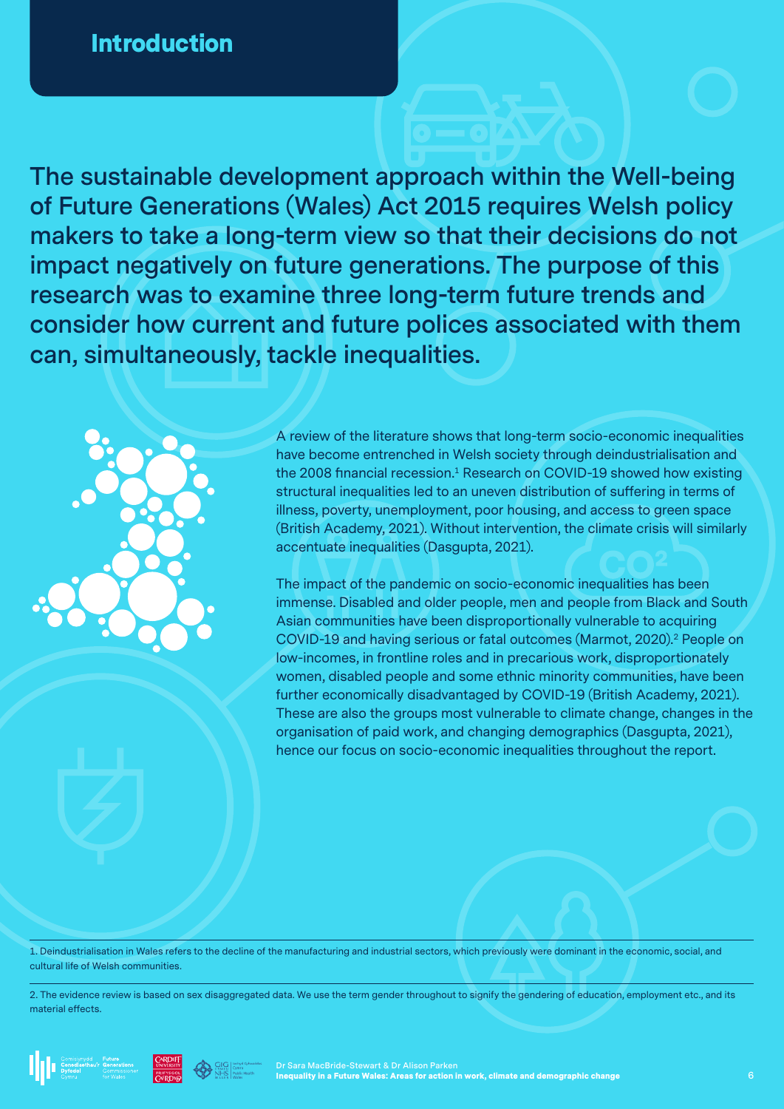**The sustainable development approach within the Well-being of Future Generations (Wales) Act 2015 requires Welsh policy makers to take a long-term view so that their decisions do not impact negatively on future generations. The purpose of this research was to examine three long-term future trends and consider how current and future polices associated with them can, simultaneously, tackle inequalities.** 



A review of the literature shows that long-term socio-economic inequalities have become entrenched in Welsh society through deindustrialisation and the 2008 financial recession.<sup>1</sup> Research on COVID-19 showed how existing structural inequalities led to an uneven distribution of suffering in terms of illness, poverty, unemployment, poor housing, and access to green space (British Academy, 2021). Without intervention, the climate crisis will similarly accentuate inequalities (Dasgupta, 2021).

The impact of the pandemic on socio-economic inequalities has been immense. Disabled and older people, men and people from Black and South Asian communities have been disproportionally vulnerable to acquiring COVID-19 and having serious or fatal outcomes (Marmot, 2020).2 People on low-incomes, in frontline roles and in precarious work, disproportionately women, disabled people and some ethnic minority communities, have been further economically disadvantaged by COVID-19 (British Academy, 2021). These are also the groups most vulnerable to climate change, changes in the organisation of paid work, and changing demographics (Dasgupta, 2021), hence our focus on socio-economic inequalities throughout the report.

1. Deindustrialisation in Wales refers to the decline of the manufacturing and industrial sectors, which previously were dominant in the economic, social, and cultural life of Welsh communities.

2. The evidence review is based on sex disaggregated data. We use the term gender throughout to signify the gendering of education, employment etc., and its material effects.

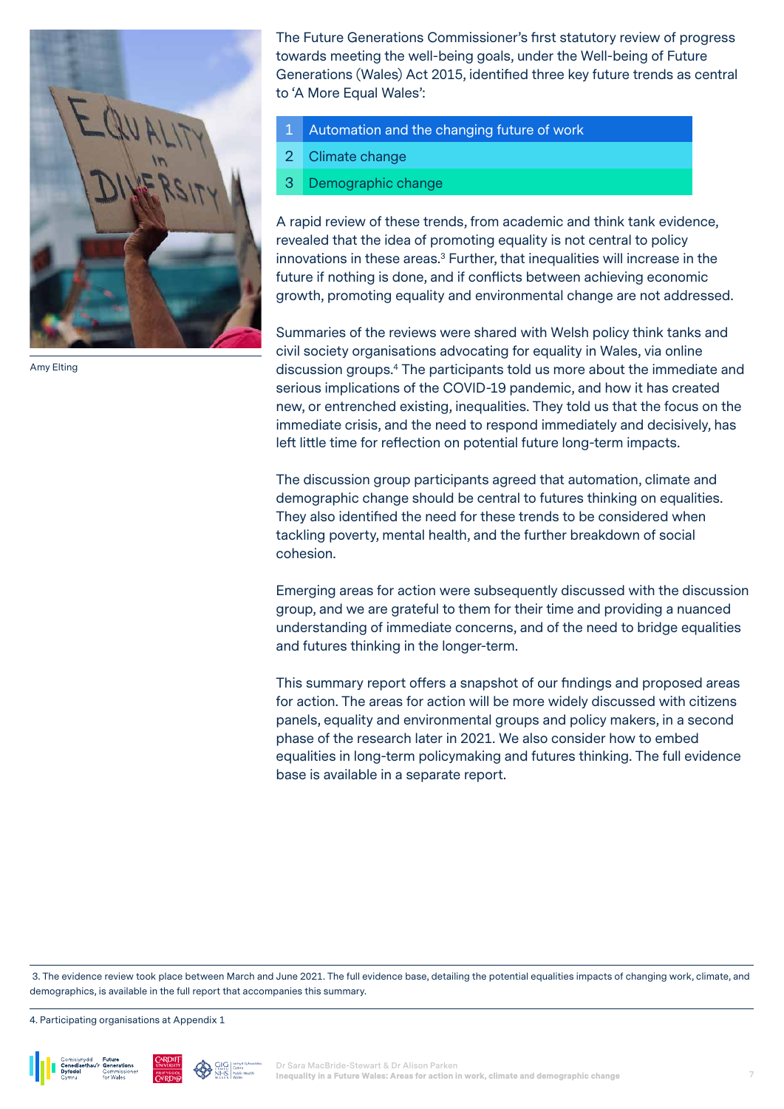

Amy Elting

The Future Generations Commissioner's first statutory review of progress towards meeting the well-being goals, under the Well-being of Future Generations (Wales) Act 2015, identified three key future trends as central to 'A More Equal Wales':

- Automation and the changing future of work
- 2 Climate change
- 3 Demographic change

A rapid review of these trends, from academic and think tank evidence, revealed that the idea of promoting equality is not central to policy innovations in these areas.<sup>3</sup> Further, that inequalities will increase in the future if nothing is done, and if conflicts between achieving economic growth, promoting equality and environmental change are not addressed.

Summaries of the reviews were shared with Welsh policy think tanks and civil society organisations advocating for equality in Wales, via online discussion groups.4 The participants told us more about the immediate and serious implications of the COVID-19 pandemic, and how it has created new, or entrenched existing, inequalities. They told us that the focus on the immediate crisis, and the need to respond immediately and decisively, has left little time for reflection on potential future long-term impacts.

The discussion group participants agreed that automation, climate and demographic change should be central to futures thinking on equalities. They also identified the need for these trends to be considered when tackling poverty, mental health, and the further breakdown of social cohesion.

Emerging areas for action were subsequently discussed with the discussion group, and we are grateful to them for their time and providing a nuanced understanding of immediate concerns, and of the need to bridge equalities and futures thinking in the longer-term.

This summary report offers a snapshot of our findings and proposed areas for action. The areas for action will be more widely discussed with citizens panels, equality and environmental groups and policy makers, in a second phase of the research later in 2021. We also consider how to embed equalities in long-term policymaking and futures thinking. The full evidence base is available in a separate report.

 3. The evidence review took place between March and June 2021. The full evidence base, detailing the potential equalities impacts of changing work, climate, and demographics, is available in the full report that accompanies this summary.

4. Participating organisations at Appendix 1





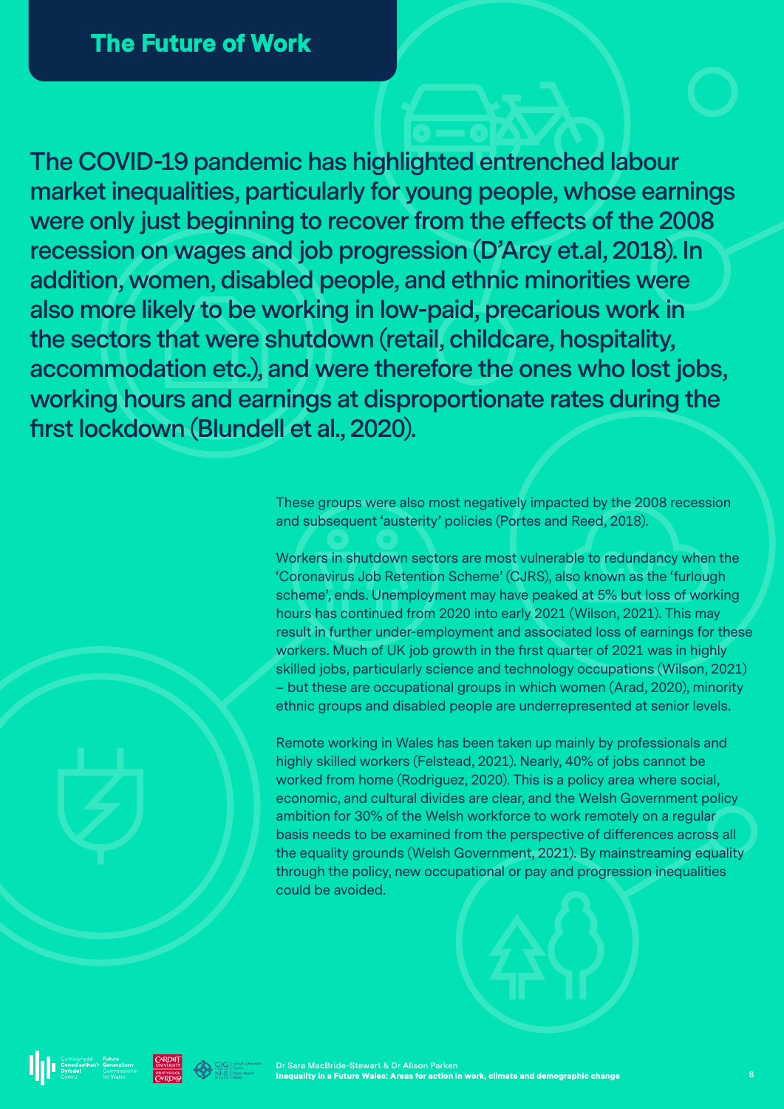**The COVID-19 pandemic has highlighted entrenched labour market inequalities, particularly for young people, whose earnings were only just beginning to recover from the effects of the 2008 recession on wages and job progression (D'Arcy et.al, 2018). In addition, women, disabled people, and ethnic minorities were also more likely to be working in low-paid, precarious work in the sectors that were shutdown (retail, childcare, hospitality, accommodation etc.), and were therefore the ones who lost jobs, working hours and earnings at disproportionate rates during the first lockdown (Blundell et al., 2020).** 

> These groups were also most negatively impacted by the 2008 recession and subsequent 'austerity' policies (Portes and Reed, 2018).

Workers in shutdown sectors are most vulnerable to redundancy when the 'Coronavirus Job Retention Scheme' (CJRS), also known as the 'furlough scheme', ends. Unemployment may have peaked at 5% but loss of working hours has continued from 2020 into early 2021 (Wilson, 2021). This may result in further under-employment and associated loss of earnings for these workers. Much of UK job growth in the first quarter of 2021 was in highly skilled jobs, particularly science and technology occupations (Wilson, 2021) – but these are occupational groups in which women (Arad, 2020), minority ethnic groups and disabled people are underrepresented at senior levels.

Remote working in Wales has been taken up mainly by professionals and highly skilled workers (Felstead, 2021). Nearly, 40% of jobs cannot be worked from home (Rodriguez, 2020). This is a policy area where social, economic, and cultural divides are clear, and the Welsh Government policy ambition for 30% of the Welsh workforce to work remotely on a regular basis needs to be examined from the perspective of differences across all the equality grounds (Welsh Government, 2021). By mainstreaming equality through the policy, new occupational or pay and progression inequalities could be avoided.





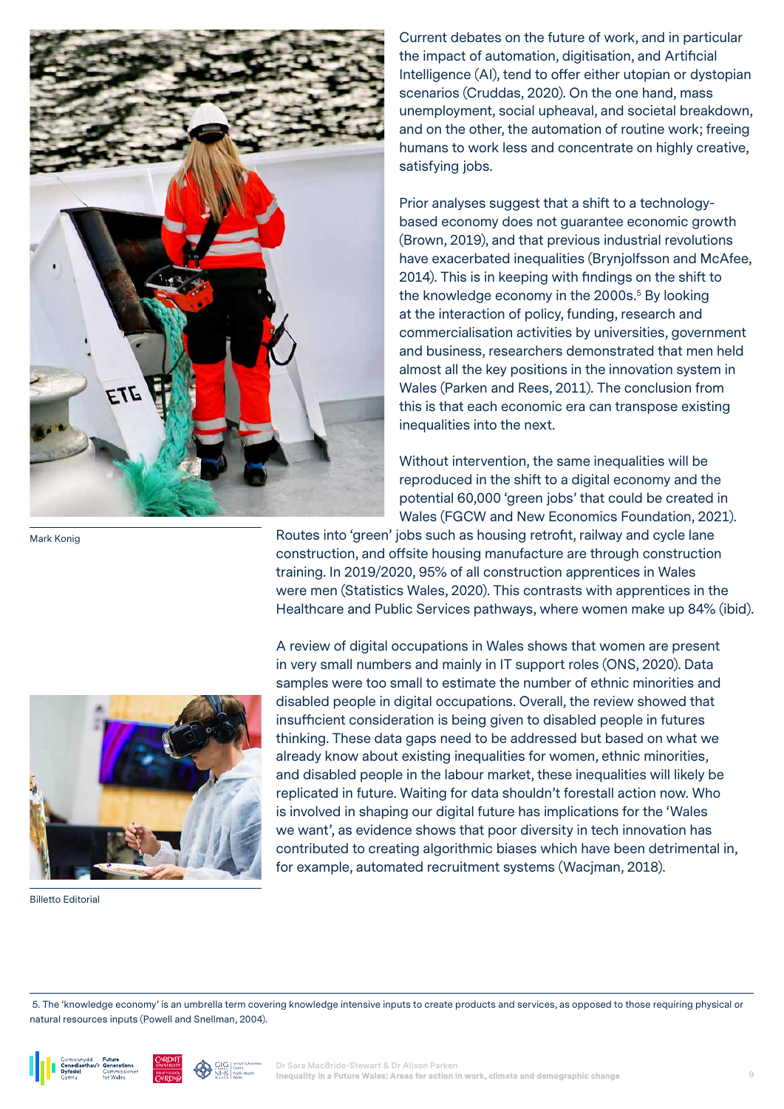

Current debates on the future of work, and in particular the impact of automation, digitisation, and Artificial Intelligence (AI), tend to offer either utopian or dystopian scenarios (Cruddas, 2020). On the one hand, mass unemployment, social upheaval, and societal breakdown, and on the other, the automation of routine work; freeing humans to work less and concentrate on highly creative, satisfying jobs.

Prior analyses suggest that a shift to a technologybased economy does not guarantee economic growth (Brown, 2019), and that previous industrial revolutions have exacerbated inequalities (Brynjolfsson and McAfee, 2014). This is in keeping with findings on the shift to the knowledge economy in the 2000s.<sup>5</sup> By looking at the interaction of policy, funding, research and commercialisation activities by universities, government and business, researchers demonstrated that men held almost all the key positions in the innovation system in Wales (Parken and Rees, 2011). The conclusion from this is that each economic era can transpose existing inequalities into the next.

Without intervention, the same inequalities will be reproduced in the shift to a digital economy and the potential 60,000 'green jobs' that could be created in Wales (FGCW and New Economics Foundation, 2021).

Routes into 'green' jobs such as housing retrofit, railway and cycle lane construction, and offsite housing manufacture are through construction training. In 2019/2020, 95% of all construction apprentices in Wales were men (Statistics Wales, 2020). This contrasts with apprentices in the Healthcare and Public Services pathways, where women make up 84% (ibid).



Billetto Editorial

Mark Konig

A review of digital occupations in Wales shows that women are present in very small numbers and mainly in IT support roles (ONS, 2020). Data samples were too small to estimate the number of ethnic minorities and disabled people in digital occupations. Overall, the review showed that insufficient consideration is being given to disabled people in futures thinking. These data gaps need to be addressed but based on what we already know about existing inequalities for women, ethnic minorities, and disabled people in the labour market, these inequalities will likely be replicated in future. Waiting for data shouldn't forestall action now. Who is involved in shaping our digital future has implications for the 'Wales we want', as evidence shows that poor diversity in tech innovation has contributed to creating algorithmic biases which have been detrimental in, for example, automated recruitment systems (Wacjman, 2018).

 5. The 'knowledge economy' is an umbrella term covering knowledge intensive inputs to create products and services, as opposed to those requiring physical or natural resources inputs (Powell and Snellman, 2004).





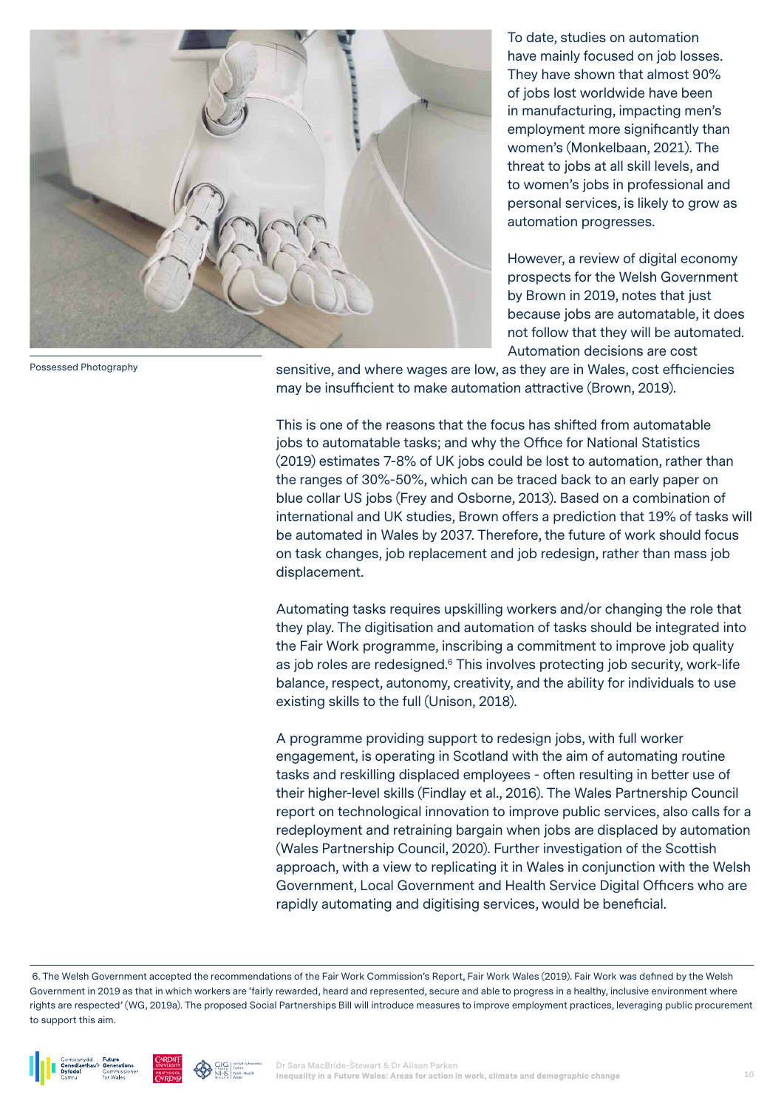

Possessed Photography

To date, studies on automation have mainly focused on job losses. They have shown that almost 90% of jobs lost worldwide have been in manufacturing, impacting men's employment more significantly than women's (Monkelbaan, 2021). The threat to jobs at all skill levels, and to women's jobs in professional and personal services, is likely to grow as automation progresses.

However, a review of digital economy prospects for the Welsh Government by Brown in 2019, notes that just because jobs are automatable, it does not follow that they will be automated. Automation decisions are cost

sensitive, and where wages are low, as they are in Wales, cost efficiencies may be insufficient to make automation attractive (Brown, 2019).

This is one of the reasons that the focus has shifted from automatable jobs to automatable tasks; and why the Office for National Statistics (2019) estimates 7-8% of UK jobs could be lost to automation, rather than the ranges of 30%-50%, which can be traced back to an early paper on blue collar US jobs (Frey and Osborne, 2013). Based on a combination of international and UK studies, Brown offers a prediction that 19% of tasks will be automated in Wales by 2037. Therefore, the future of work should focus on task changes, job replacement and job redesign, rather than mass job displacement.

Automating tasks requires upskilling workers and/or changing the role that they play. The digitisation and automation of tasks should be integrated into the Fair Work programme, inscribing a commitment to improve job quality as job roles are redesigned.<sup>6</sup> This involves protecting job security, work-life balance, respect, autonomy, creativity, and the ability for individuals to use existing skills to the full (Unison, 2018).

A programme providing support to redesign jobs, with full worker engagement, is operating in Scotland with the aim of automating routine tasks and reskilling displaced employees - often resulting in better use of their higher-level skills (Findlay et al., 2016). The Wales Partnership Council report on technological innovation to improve public services, also calls for a redeployment and retraining bargain when jobs are displaced by automation (Wales Partnership Council, 2020). Further investigation of the Scottish approach, with a view to replicating it in Wales in conjunction with the Welsh Government, Local Government and Health Service Digital Officers who are rapidly automating and digitising services, would be beneficial.

 <sup>6.</sup> The Welsh Government accepted the recommendations of the Fair Work Commission's Report, Fair Work Wales (2019). Fair Work was defined by the Welsh Government in 2019 as that in which workers are 'fairly rewarded, heard and represented, secure and able to progress in a healthy, inclusive environment where rights are respected' (WG, 2019a). The proposed Social Partnerships Bill will introduce measures to improve employment practices, leveraging public procurement to support this aim.





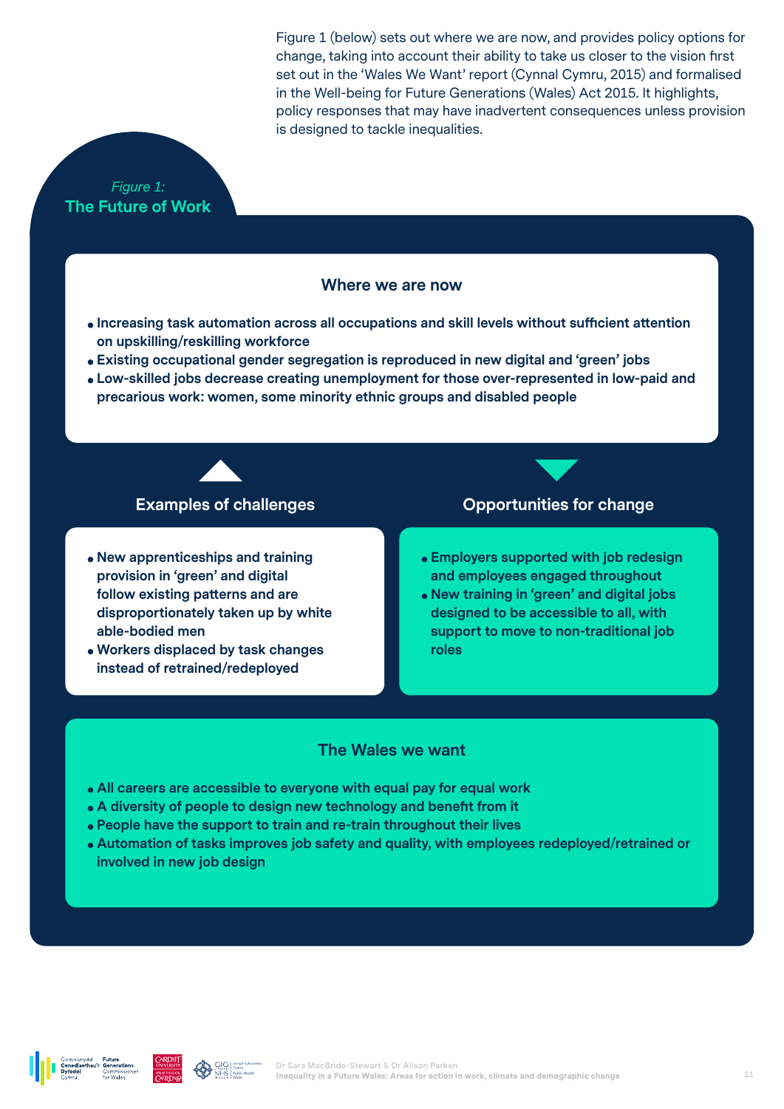Figure 1 (below) sets out where we are now, and provides policy options for change, taking into account their ability to take us closer to the vision first set out in the 'Wales We Want' report (Cynnal Cymru, 2015) and formalised in the Well-being for Future Generations (Wales) Act 2015. It highlights, policy responses that may have inadvertent consequences unless provision is designed to tackle inequalities.

### *Figure 1:*  **The Future of Work**

#### **Where we are now**

- **Increasing task automation across all occupations and skill levels without sufficient attention on upskilling/reskilling workforce**
- **Existing occupational gender segregation is reproduced in new digital and 'green' jobs**
- **Low-skilled jobs decrease creating unemployment for those over-represented in low-paid and precarious work: women, some minority ethnic groups and disabled people**

- **New apprenticeships and training provision in 'green' and digital follow existing patterns and are disproportionately taken up by white able-bodied men**
- **Workers displaced by task changes instead of retrained/redeployed**

#### **Examples of challenges Constrainer Comportunities for change**

- **Employers supported with job redesign and employees engaged throughout**
- **New training in 'green' and digital jobs designed to be accessible to all, with support to move to non-traditional job roles**

#### **The Wales we want**

- **All careers are accessible to everyone with equal pay for equal work**
- **A diversity of people to design new technology and benefit from it**
- **People have the support to train and re-train throughout their lives**
- **Automation of tasks improves job safety and quality, with employees redeployed/retrained or involved in new job design**



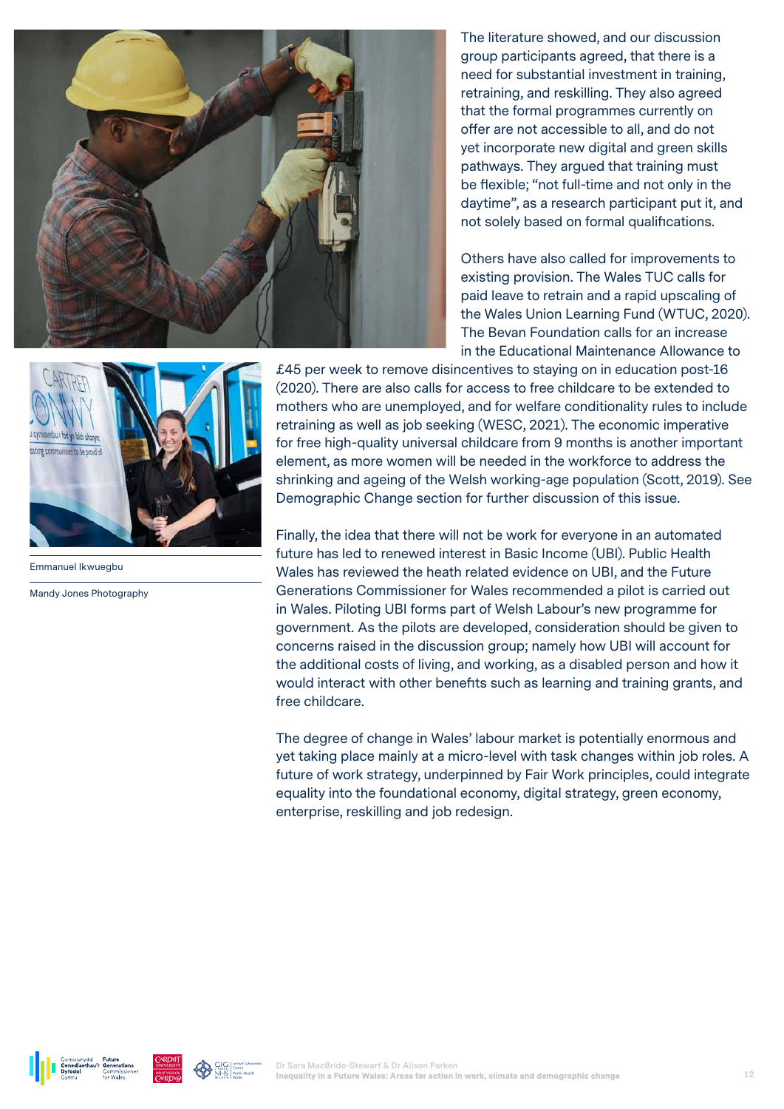

The literature showed, and our discussion group participants agreed, that there is a need for substantial investment in training, retraining, and reskilling. They also agreed that the formal programmes currently on offer are not accessible to all, and do not yet incorporate new digital and green skills pathways. They argued that training must be flexible; "not full-time and not only in the daytime", as a research participant put it, and not solely based on formal qualifications.

Others have also called for improvements to existing provision. The Wales TUC calls for paid leave to retrain and a rapid upscaling of the Wales Union Learning Fund (WTUC, 2020). The Bevan Foundation calls for an increase in the Educational Maintenance Allowance to



Emmanuel Ikwuegbu

Mandy Jones Photography

£45 per week to remove disincentives to staying on in education post-16 (2020). There are also calls for access to free childcare to be extended to mothers who are unemployed, and for welfare conditionality rules to include retraining as well as job seeking (WESC, 2021). The economic imperative for free high-quality universal childcare from 9 months is another important element, as more women will be needed in the workforce to address the shrinking and ageing of the Welsh working-age population (Scott, 2019). See Demographic Change section for further discussion of this issue.

Finally, the idea that there will not be work for everyone in an automated future has led to renewed interest in Basic Income (UBI). Public Health Wales has reviewed the heath related evidence on UBI, and the Future Generations Commissioner for Wales recommended a pilot is carried out in Wales. Piloting UBI forms part of Welsh Labour's new programme for government. As the pilots are developed, consideration should be given to concerns raised in the discussion group; namely how UBI will account for the additional costs of living, and working, as a disabled person and how it would interact with other benefits such as learning and training grants, and free childcare.

The degree of change in Wales' labour market is potentially enormous and yet taking place mainly at a micro-level with task changes within job roles. A future of work strategy, underpinned by Fair Work principles, could integrate equality into the foundational economy, digital strategy, green economy, enterprise, reskilling and job redesign.



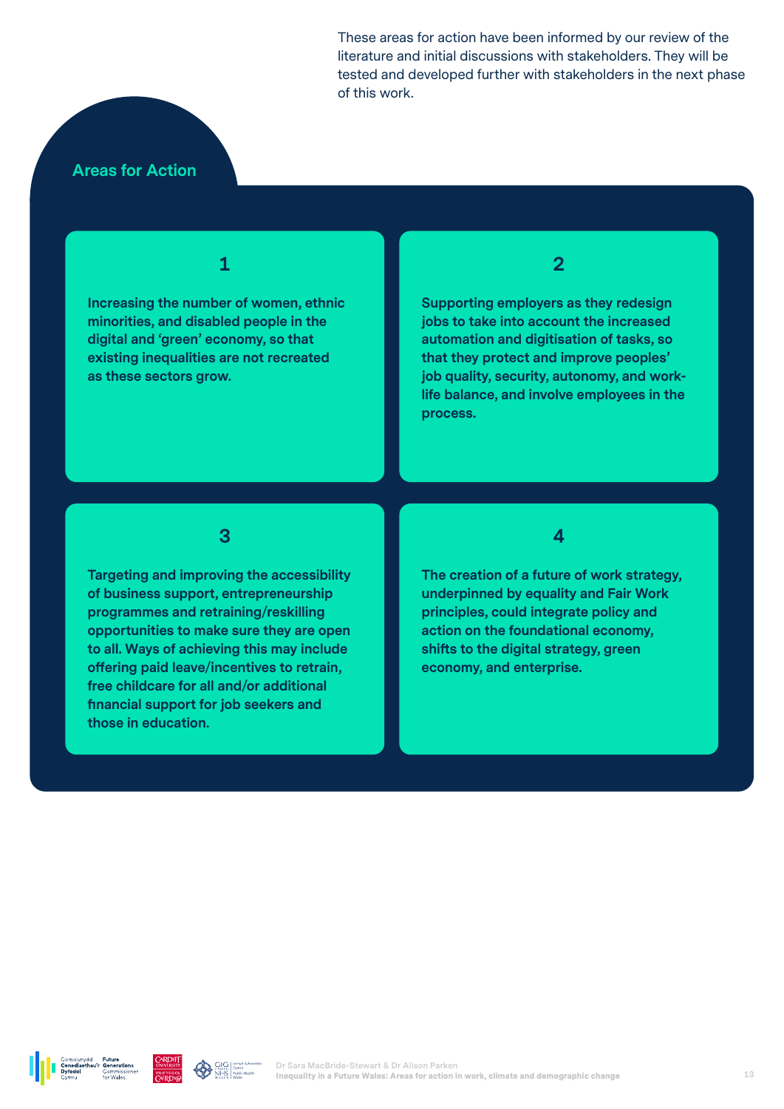These areas for action have been informed by our review of the literature and initial discussions with stakeholders. They will be tested and developed further with stakeholders in the next phase of this work.

#### **Areas for Action**

**1**

**Increasing the number of women, ethnic minorities, and disabled people in the digital and 'green' economy, so that existing inequalities are not recreated as these sectors grow.** 

**2**

**Supporting employers as they redesign jobs to take into account the increased automation and digitisation of tasks, so that they protect and improve peoples' job quality, security, autonomy, and worklife balance, and involve employees in the process.** 

**3**

**Targeting and improving the accessibility of business support, entrepreneurship programmes and retraining/reskilling opportunities to make sure they are open to all. Ways of achieving this may include offering paid leave/incentives to retrain, free childcare for all and/or additional financial support for job seekers and those in education.** 

**4**

**The creation of a future of work strategy, underpinned by equality and Fair Work principles, could integrate policy and action on the foundational economy, shifts to the digital strategy, green economy, and enterprise.** 





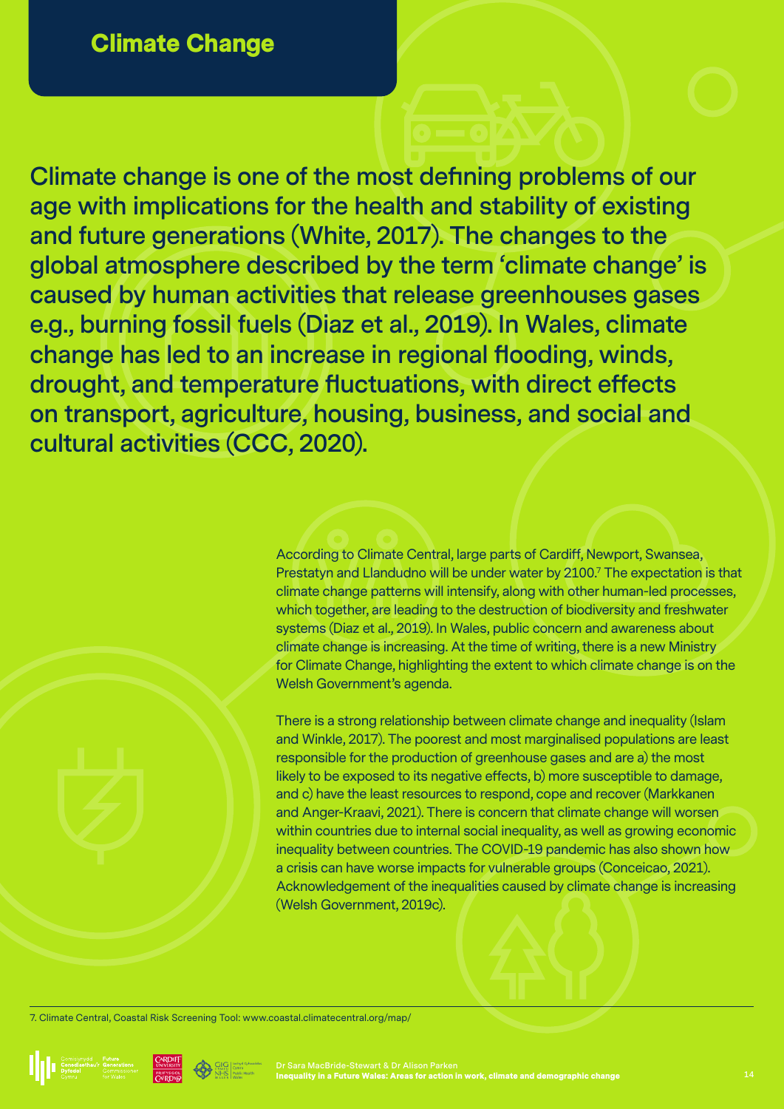**Climate change is one of the most defining problems of our age with implications for the health and stability of existing and future generations (White, 2017). The changes to the global atmosphere described by the term 'climate change' is caused by human activities that release greenhouses gases e.g., burning fossil fuels (Diaz et al., 2019). In Wales, climate change has led to an increase in regional flooding, winds, drought, and temperature fluctuations, with direct effects on transport, agriculture, housing, business, and social and cultural activities (CCC, 2020).**

> According to Climate Central, large parts of Cardiff, Newport, Swansea, Prestatyn and Llandudno will be under water by 2100.7 The expectation is that climate change patterns will intensify, along with other human-led processes, which together, are leading to the destruction of biodiversity and freshwater systems (Diaz et al., 2019). In Wales, public concern and awareness about climate change is increasing. At the time of writing, there is a new Ministry for Climate Change, highlighting the extent to which climate change is on the Welsh Government's agenda.

There is a strong relationship between climate change and inequality (Islam and Winkle, 2017). The poorest and most marginalised populations are least responsible for the production of greenhouse gases and are a) the most likely to be exposed to its negative effects, b) more susceptible to damage, and c) have the least resources to respond, cope and recover (Markkanen and Anger-Kraavi, 2021). There is concern that climate change will worsen within countries due to internal social inequality, as well as growing economic inequality between countries. The COVID-19 pandemic has also shown how a crisis can have worse impacts for vulnerable groups (Conceicao, 2021). Acknowledgement of the inequalities caused by climate change is increasing (Welsh Government, 2019c).

7. Climate Central, Coastal Risk Screening Tool: www.coastal.climatecentral.org/map/







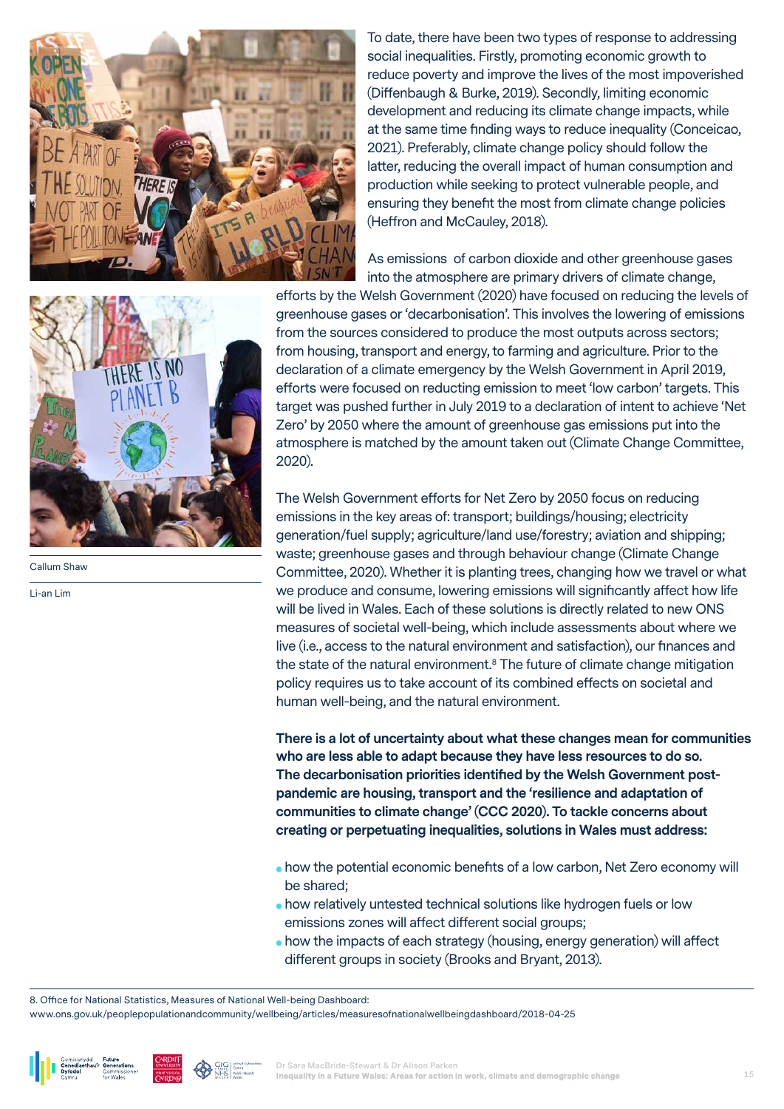

Callum Shaw

Li-an Lim

To date, there have been two types of response to addressing social inequalities. Firstly, promoting economic growth to reduce poverty and improve the lives of the most impoverished (Diffenbaugh & Burke, 2019). Secondly, limiting economic development and reducing its climate change impacts, while at the same time finding ways to reduce inequality (Conceicao, 2021). Preferably, climate change policy should follow the latter, reducing the overall impact of human consumption and production while seeking to protect vulnerable people, and ensuring they benefit the most from climate change policies (Heffron and McCauley, 2018).

As emissions of carbon dioxide and other greenhouse gases into the atmosphere are primary drivers of climate change,

efforts by the Welsh Government (2020) have focused on reducing the levels of greenhouse gases or 'decarbonisation'. This involves the lowering of emissions from the sources considered to produce the most outputs across sectors; from housing, transport and energy, to farming and agriculture. Prior to the declaration of a climate emergency by the Welsh Government in April 2019, efforts were focused on reducting emission to meet 'low carbon' targets. This target was pushed further in July 2019 to a declaration of intent to achieve 'Net Zero' by 2050 where the amount of greenhouse gas emissions put into the atmosphere is matched by the amount taken out (Climate Change Committee, 2020).

The Welsh Government efforts for Net Zero by 2050 focus on reducing emissions in the key areas of: transport; buildings/housing; electricity generation/fuel supply; agriculture/land use/forestry; aviation and shipping; waste; greenhouse gases and through behaviour change (Climate Change Committee, 2020). Whether it is planting trees, changing how we travel or what we produce and consume, lowering emissions will significantly affect how life will be lived in Wales. Each of these solutions is directly related to new ONS measures of societal well-being, which include assessments about where we live (i.e., access to the natural environment and satisfaction), our finances and the state of the natural environment.<sup>8</sup> The future of climate change mitigation policy requires us to take account of its combined effects on societal and human well-being, and the natural environment.

**There is a lot of uncertainty about what these changes mean for communities who are less able to adapt because they have less resources to do so. The decarbonisation priorities identified by the Welsh Government postpandemic are housing, transport and the 'resilience and adaptation of communities to climate change' (CCC 2020). To tackle concerns about creating or perpetuating inequalities, solutions in Wales must address:** 

- how the potential economic benefits of a low carbon, Net Zero economy will be shared;
- how relatively untested technical solutions like hydrogen fuels or low emissions zones will affect different social groups;
- how the impacts of each strategy (housing, energy generation) will affect different groups in society (Brooks and Bryant, 2013).

8. Office for National Statistics, Measures of National Well-being Dashboard:

www.ons.gov.uk/peoplepopulationandcommunity/wellbeing/articles/measuresofnationalwellbeingdashboard/2018-04-25





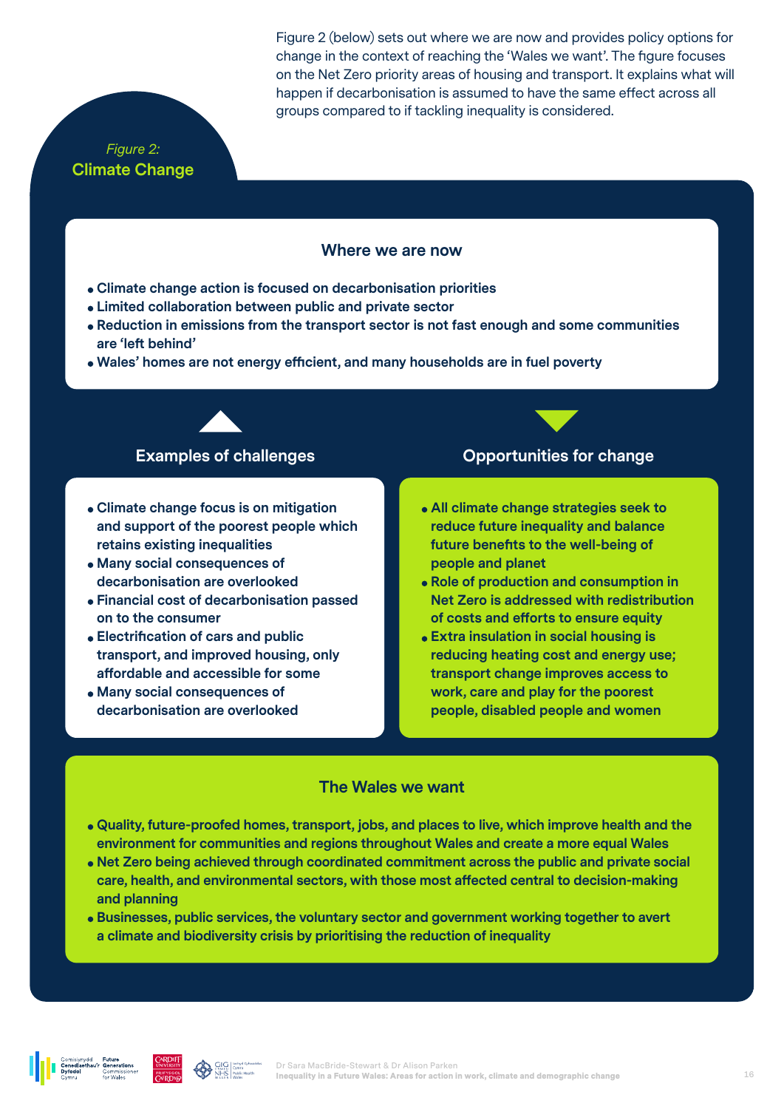#### *Figure 2:*  **Climate Change**

Figure 2 (below) sets out where we are now and provides policy options for change in the context of reaching the 'Wales we want'. The figure focuses on the Net Zero priority areas of housing and transport. It explains what will happen if decarbonisation is assumed to have the same effect across all groups compared to if tackling inequality is considered.

#### **Where we are now**

- **Climate change action is focused on decarbonisation priorities**
- **Limited collaboration between public and private sector**
- **Reduction in emissions from the transport sector is not fast enough and some communities are 'left behind'**
- **Wales' homes are not energy efficient, and many households are in fuel poverty**

- **Climate change focus is on mitigation and support of the poorest people which retains existing inequalities**
- **Many social consequences of decarbonisation are overlooked**
- **Financial cost of decarbonisation passed on to the consumer**
- **Electrification of cars and public transport, and improved housing, only affordable and accessible for some**
- **Many social consequences of decarbonisation are overlooked**

#### **Examples of challenges Constructed Construction Construction Construction Construction Construction Construction Construction Construction Construction Construction Construction Construction Construction Construction Co**

- **All climate change strategies seek to reduce future inequality and balance future benefits to the well-being of people and planet**
- **Role of production and consumption in Net Zero is addressed with redistribution of costs and efforts to ensure equity**
- **Extra insulation in social housing is reducing heating cost and energy use; transport change improves access to work, care and play for the poorest people, disabled people and women**

#### **The Wales we want**

- **Quality, future-proofed homes, transport, jobs, and places to live, which improve health and the environment for communities and regions throughout Wales and create a more equal Wales**
- **Net Zero being achieved through coordinated commitment across the public and private social care, health, and environmental sectors, with those most affected central to decision-making and planning**
- **Businesses, public services, the voluntary sector and government working together to avert a climate and biodiversity crisis by prioritising the reduction of inequality**

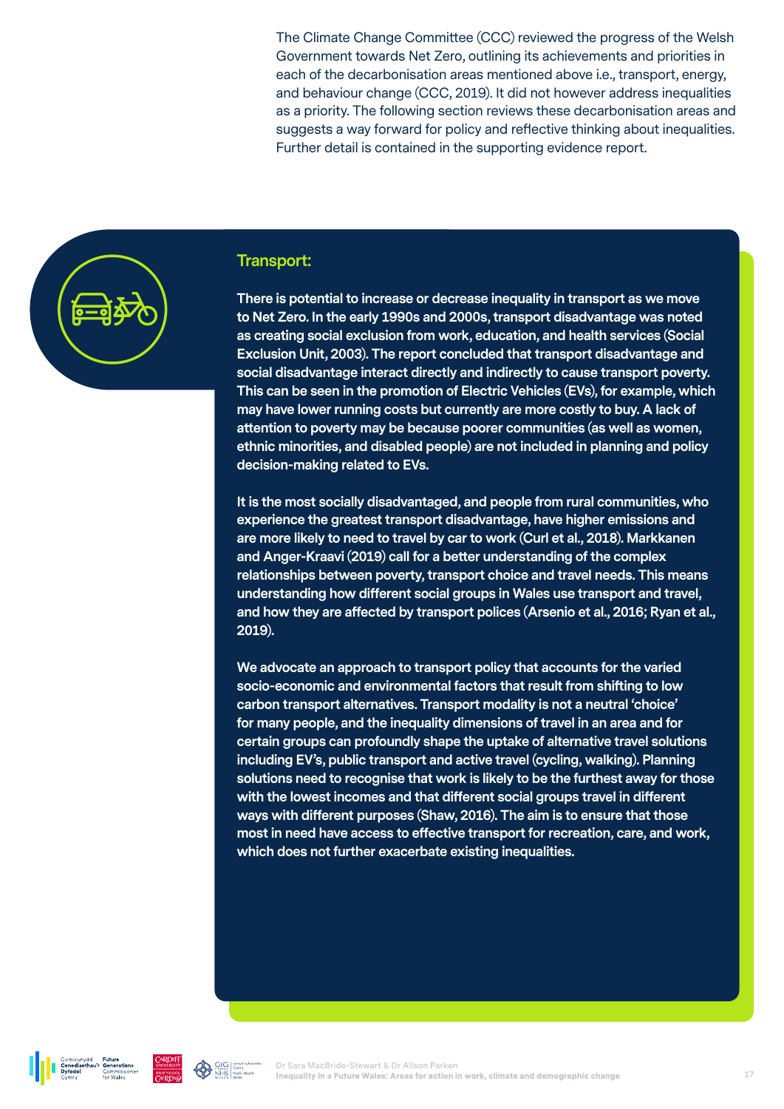The Climate Change Committee (CCC) reviewed the progress of the Welsh Government towards Net Zero, outlining its achievements and priorities in each of the decarbonisation areas mentioned above i.e., transport, energy, and behaviour change (CCC, 2019). It did not however address inequalities as a priority. The following section reviews these decarbonisation areas and suggests a way forward for policy and reflective thinking about inequalities. Further detail is contained in the supporting evidence report.



#### **Transport:**

**There is potential to increase or decrease inequality in transport as we move to Net Zero. In the early 1990s and 2000s, transport disadvantage was noted as creating social exclusion from work, education, and health services (Social Exclusion Unit, 2003). The report concluded that transport disadvantage and social disadvantage interact directly and indirectly to cause transport poverty. This can be seen in the promotion of Electric Vehicles (EVs), for example, which may have lower running costs but currently are more costly to buy. A lack of attention to poverty may be because poorer communities (as well as women, ethnic minorities, and disabled people) are not included in planning and policy decision-making related to EVs.** 

**It is the most socially disadvantaged, and people from rural communities, who experience the greatest transport disadvantage, have higher emissions and are more likely to need to travel by car to work (Curl et al., 2018). Markkanen and Anger-Kraavi (2019) call for a better understanding of the complex relationships between poverty, transport choice and travel needs. This means understanding how different social groups in Wales use transport and travel, and how they are affected by transport polices (Arsenio et al., 2016; Ryan et al., 2019).**

**We advocate an approach to transport policy that accounts for the varied socio-economic and environmental factors that result from shifting to low carbon transport alternatives. Transport modality is not a neutral 'choice' for many people, and the inequality dimensions of travel in an area and for certain groups can profoundly shape the uptake of alternative travel solutions including EV's, public transport and active travel (cycling, walking). Planning solutions need to recognise that work is likely to be the furthest away for those with the lowest incomes and that different social groups travel in different ways with different purposes (Shaw, 2016). The aim is to ensure that those most in need have access to effective transport for recreation, care, and work, which does not further exacerbate existing inequalities.**



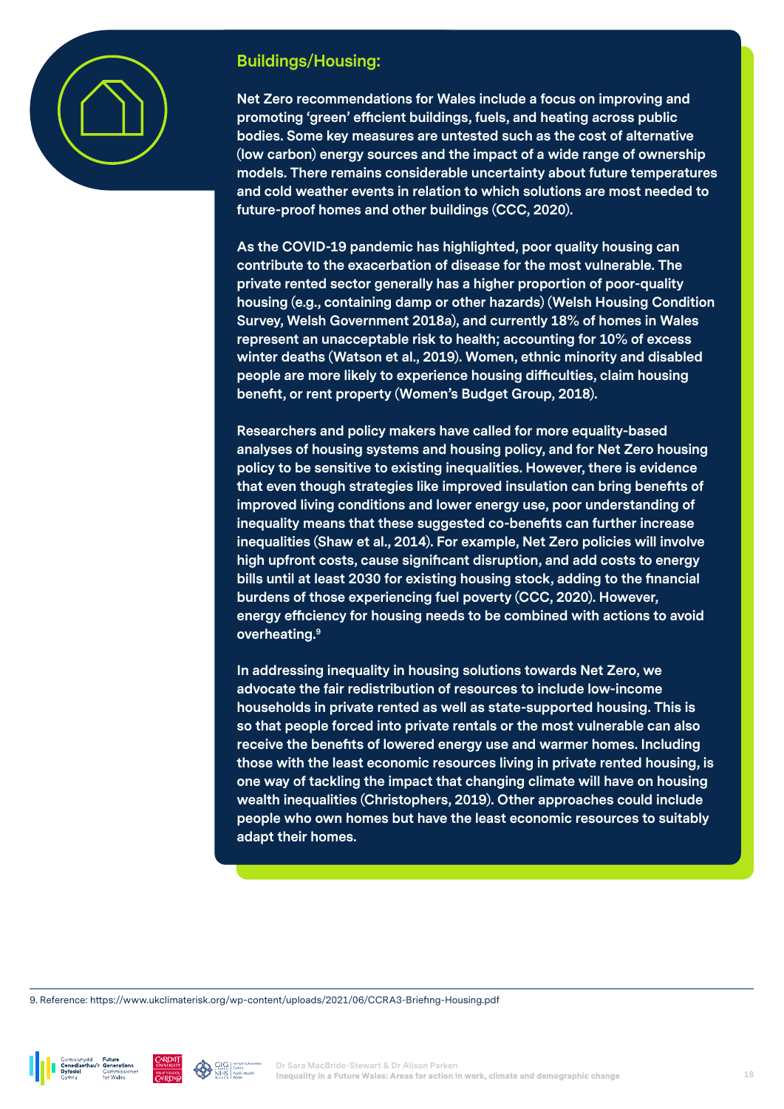

### **Buildings/Housing:**

**Net Zero recommendations for Wales include a focus on improving and promoting 'green' efficient buildings, fuels, and heating across public bodies. Some key measures are untested such as the cost of alternative (low carbon) energy sources and the impact of a wide range of ownership models. There remains considerable uncertainty about future temperatures and cold weather events in relation to which solutions are most needed to future-proof homes and other buildings (CCC, 2020).** 

**As the COVID-19 pandemic has highlighted, poor quality housing can contribute to the exacerbation of disease for the most vulnerable. The private rented sector generally has a higher proportion of poor-quality housing (e.g., containing damp or other hazards) (Welsh Housing Condition Survey, Welsh Government 2018a), and currently 18% of homes in Wales represent an unacceptable risk to health; accounting for 10% of excess winter deaths (Watson et al., 2019). Women, ethnic minority and disabled people are more likely to experience housing difficulties, claim housing benefit, or rent property (Women's Budget Group, 2018).**

**Researchers and policy makers have called for more equality-based analyses of housing systems and housing policy, and for Net Zero housing policy to be sensitive to existing inequalities. However, there is evidence that even though strategies like improved insulation can bring benefits of improved living conditions and lower energy use, poor understanding of inequality means that these suggested co-benefits can further increase inequalities (Shaw et al., 2014). For example, Net Zero policies will involve high upfront costs, cause significant disruption, and add costs to energy bills until at least 2030 for existing housing stock, adding to the financial burdens of those experiencing fuel poverty (CCC, 2020). However, energy efficiency for housing needs to be combined with actions to avoid overheating.9**

**In addressing inequality in housing solutions towards Net Zero, we advocate the fair redistribution of resources to include low-income households in private rented as well as state-supported housing. This is so that people forced into private rentals or the most vulnerable can also receive the benefits of lowered energy use and warmer homes. Including those with the least economic resources living in private rented housing, is one way of tackling the impact that changing climate will have on housing wealth inequalities (Christophers, 2019). Other approaches could include people who own homes but have the least economic resources to suitably adapt their homes.**

9. Reference: https://www.ukclimaterisk.org/wp-content/uploads/2021/06/CCRA3-Briefing-Housing.pdf





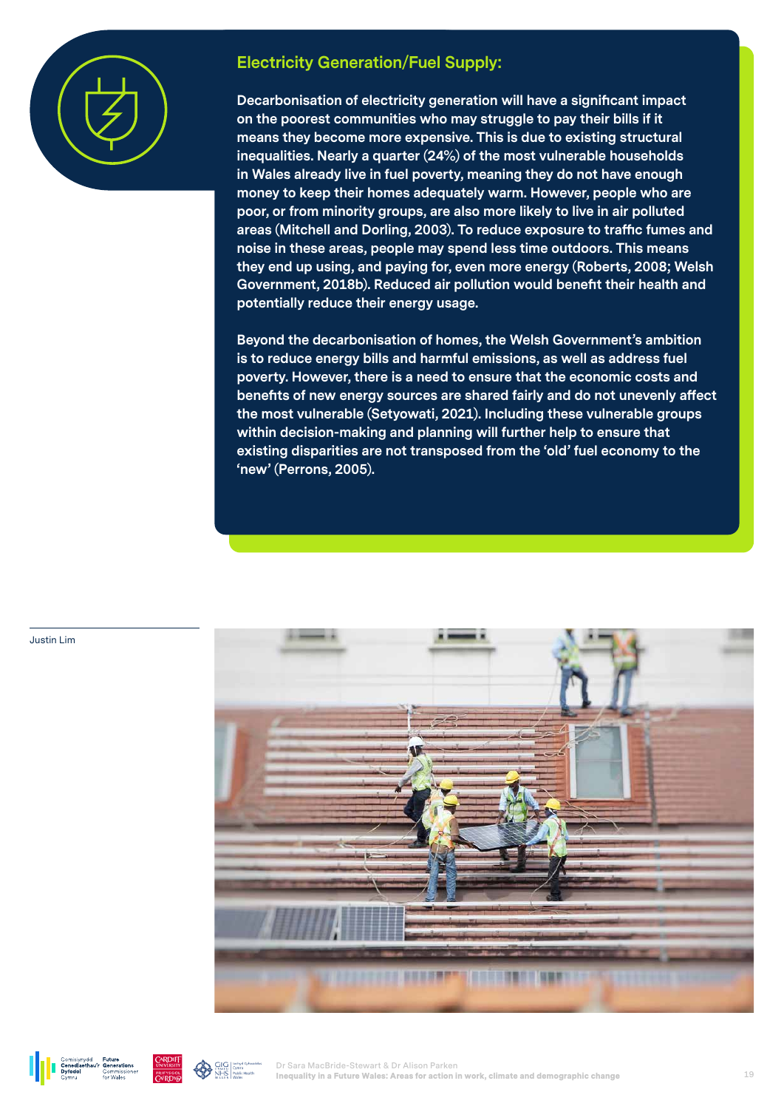

#### **Electricity Generation/Fuel Supply:**

**Decarbonisation of electricity generation will have a significant impact on the poorest communities who may struggle to pay their bills if it means they become more expensive. This is due to existing structural inequalities. Nearly a quarter (24%) of the most vulnerable households in Wales already live in fuel poverty, meaning they do not have enough money to keep their homes adequately warm. However, people who are poor, or from minority groups, are also more likely to live in air polluted areas (Mitchell and Dorling, 2003). To reduce exposure to traffic fumes and noise in these areas, people may spend less time outdoors. This means they end up using, and paying for, even more energy (Roberts, 2008; Welsh Government, 2018b). Reduced air pollution would benefit their health and potentially reduce their energy usage.**

**Beyond the decarbonisation of homes, the Welsh Government's ambition is to reduce energy bills and harmful emissions, as well as address fuel poverty. However, there is a need to ensure that the economic costs and benefits of new energy sources are shared fairly and do not unevenly affect the most vulnerable (Setyowati, 2021). Including these vulnerable groups within decision-making and planning will further help to ensure that existing disparities are not transposed from the 'old' fuel economy to the 'new' (Perrons, 2005).**



Justin Lim



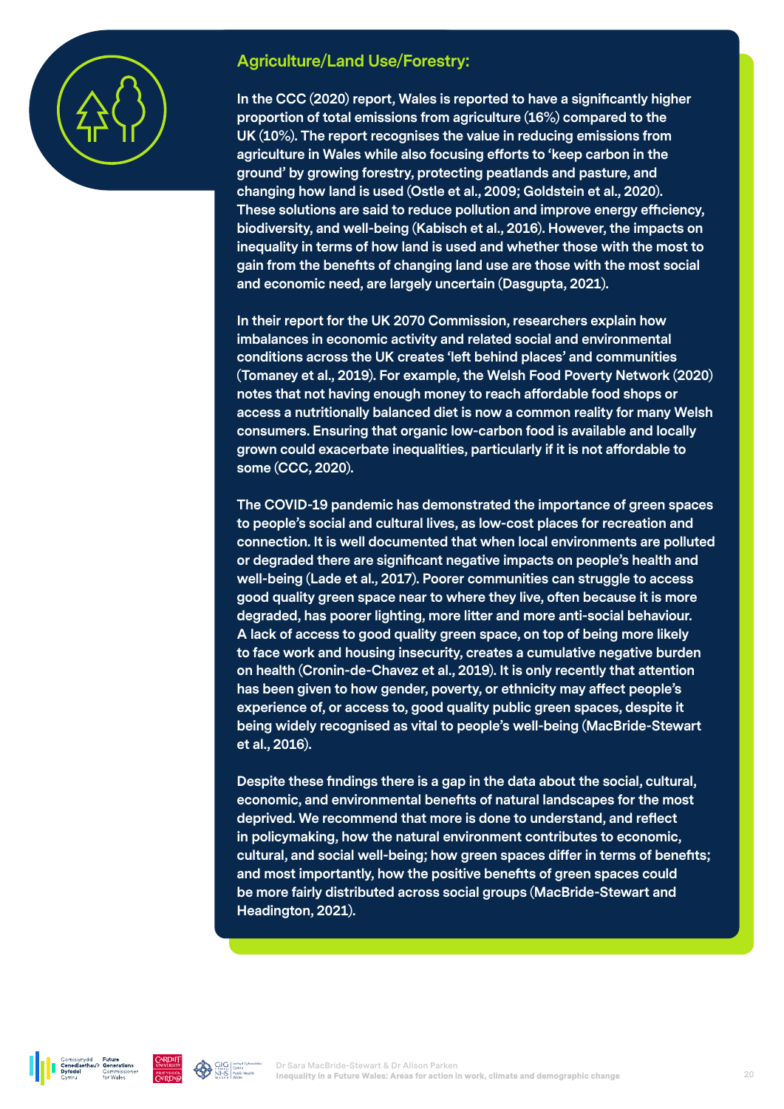

#### **Agriculture/Land Use/Forestry:**

**In the CCC (2020) report, Wales is reported to have a significantly higher proportion of total emissions from agriculture (16%) compared to the UK (10%). The report recognises the value in reducing emissions from agriculture in Wales while also focusing efforts to 'keep carbon in the ground' by growing forestry, protecting peatlands and pasture, and changing how land is used (Ostle et al., 2009; Goldstein et al., 2020). These solutions are said to reduce pollution and improve energy efficiency, biodiversity, and well-being (Kabisch et al., 2016). However, the impacts on inequality in terms of how land is used and whether those with the most to gain from the benefits of changing land use are those with the most social and economic need, are largely uncertain (Dasgupta, 2021).** 

**In their report for the UK 2070 Commission, researchers explain how imbalances in economic activity and related social and environmental conditions across the UK creates 'left behind places' and communities (Tomaney et al., 2019). For example, the Welsh Food Poverty Network (2020) notes that not having enough money to reach affordable food shops or access a nutritionally balanced diet is now a common reality for many Welsh consumers. Ensuring that organic low-carbon food is available and locally grown could exacerbate inequalities, particularly if it is not affordable to some (CCC, 2020).** 

**The COVID-19 pandemic has demonstrated the importance of green spaces to people's social and cultural lives, as low-cost places for recreation and connection. It is well documented that when local environments are polluted or degraded there are significant negative impacts on people's health and well-being (Lade et al., 2017). Poorer communities can struggle to access good quality green space near to where they live, often because it is more degraded, has poorer lighting, more litter and more anti-social behaviour. A lack of access to good quality green space, on top of being more likely to face work and housing insecurity, creates a cumulative negative burden on health (Cronin-de-Chavez et al., 2019). It is only recently that attention has been given to how gender, poverty, or ethnicity may affect people's experience of, or access to, good quality public green spaces, despite it being widely recognised as vital to people's well-being (MacBride-Stewart et al., 2016).** 

**Despite these findings there is a gap in the data about the social, cultural, economic, and environmental benefits of natural landscapes for the most deprived. We recommend that more is done to understand, and reflect in policymaking, how the natural environment contributes to economic, cultural, and social well-being; how green spaces differ in terms of benefits; and most importantly, how the positive benefits of green spaces could be more fairly distributed across social groups (MacBride-Stewart and Headington, 2021).** 

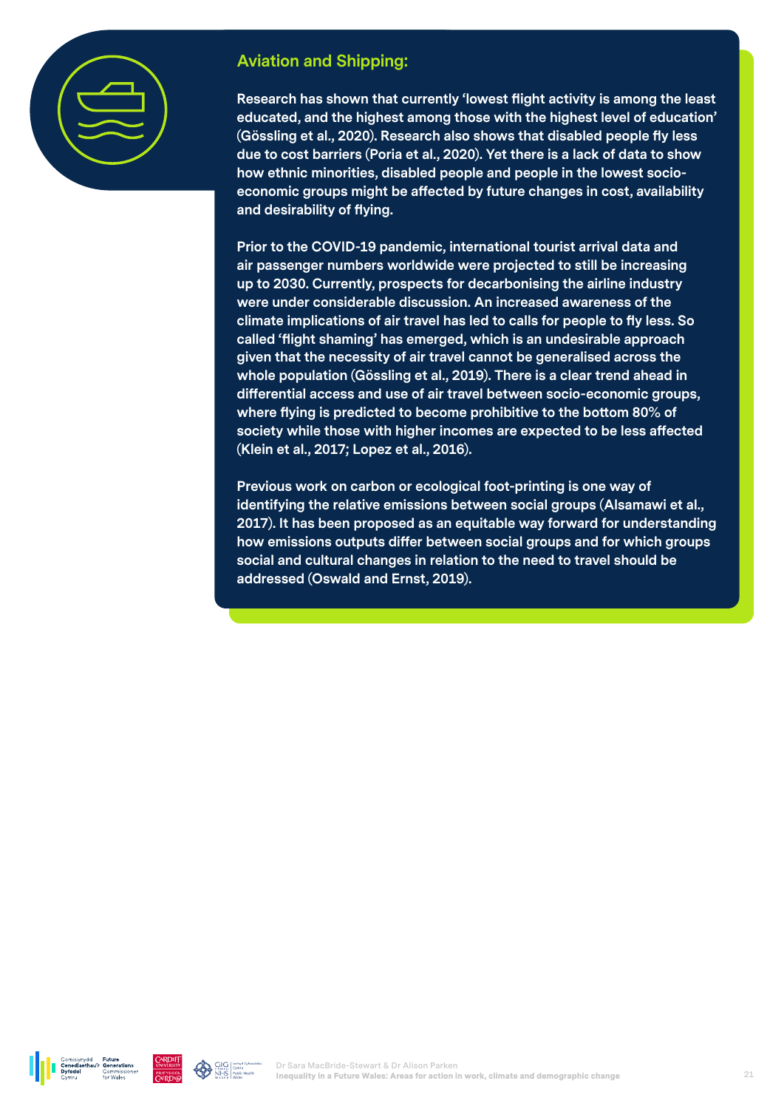

### **Aviation and Shipping:**

**Research has shown that currently 'lowest flight activity is among the least educated, and the highest among those with the highest level of education' (Gössling et al., 2020). Research also shows that disabled people fly less due to cost barriers (Poria et al., 2020). Yet there is a lack of data to show how ethnic minorities, disabled people and people in the lowest socioeconomic groups might be affected by future changes in cost, availability and desirability of flying.** 

**Prior to the COVID-19 pandemic, international tourist arrival data and air passenger numbers worldwide were projected to still be increasing up to 2030. Currently, prospects for decarbonising the airline industry were under considerable discussion. An increased awareness of the climate implications of air travel has led to calls for people to fly less. So called 'flight shaming' has emerged, which is an undesirable approach given that the necessity of air travel cannot be generalised across the whole population (Gössling et al., 2019). There is a clear trend ahead in differential access and use of air travel between socio-economic groups, where flying is predicted to become prohibitive to the bottom 80% of society while those with higher incomes are expected to be less affected (Klein et al., 2017; Lopez et al., 2016).** 

**Previous work on carbon or ecological foot-printing is one way of identifying the relative emissions between social groups (Alsamawi et al., 2017). It has been proposed as an equitable way forward for understanding how emissions outputs differ between social groups and for which groups social and cultural changes in relation to the need to travel should be addressed (Oswald and Ernst, 2019).** 



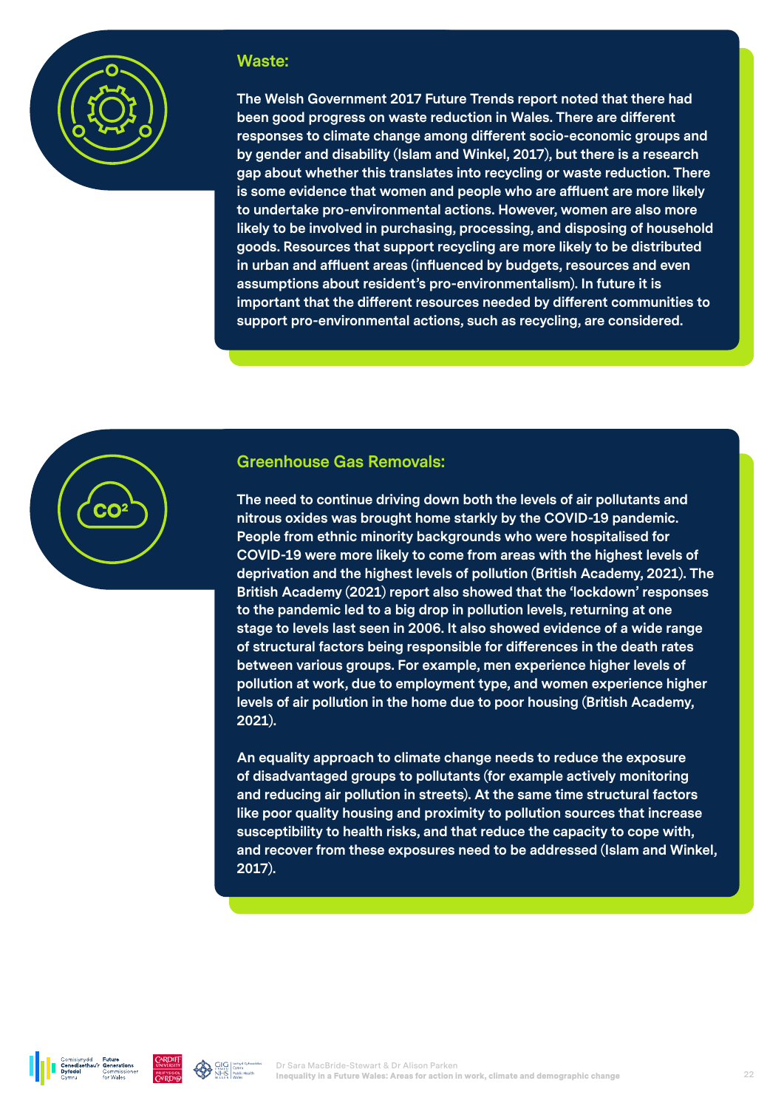

#### **Waste:**

**The Welsh Government 2017 Future Trends report noted that there had been good progress on waste reduction in Wales. There are different responses to climate change among different socio-economic groups and by gender and disability (Islam and Winkel, 2017), but there is a research gap about whether this translates into recycling or waste reduction. There is some evidence that women and people who are affluent are more likely to undertake pro-environmental actions. However, women are also more likely to be involved in purchasing, processing, and disposing of household goods. Resources that support recycling are more likely to be distributed in urban and affluent areas (influenced by budgets, resources and even assumptions about resident's pro-environmentalism). In future it is important that the different resources needed by different communities to support pro-environmental actions, such as recycling, are considered.**



**The need to continue driving down both the levels of air pollutants and nitrous oxides was brought home starkly by the COVID-19 pandemic. People from ethnic minority backgrounds who were hospitalised for COVID-19 were more likely to come from areas with the highest levels of deprivation and the highest levels of pollution (British Academy, 2021). The British Academy (2021) report also showed that the 'lockdown' responses to the pandemic led to a big drop in pollution levels, returning at one stage to levels last seen in 2006. It also showed evidence of a wide range of structural factors being responsible for differences in the death rates between various groups. For example, men experience higher levels of pollution at work, due to employment type, and women experience higher levels of air pollution in the home due to poor housing (British Academy, 2021).** 

**An equality approach to climate change needs to reduce the exposure of disadvantaged groups to pollutants (for example actively monitoring and reducing air pollution in streets). At the same time structural factors like poor quality housing and proximity to pollution sources that increase susceptibility to health risks, and that reduce the capacity to cope with, and recover from these exposures need to be addressed (Islam and Winkel, 2017).**



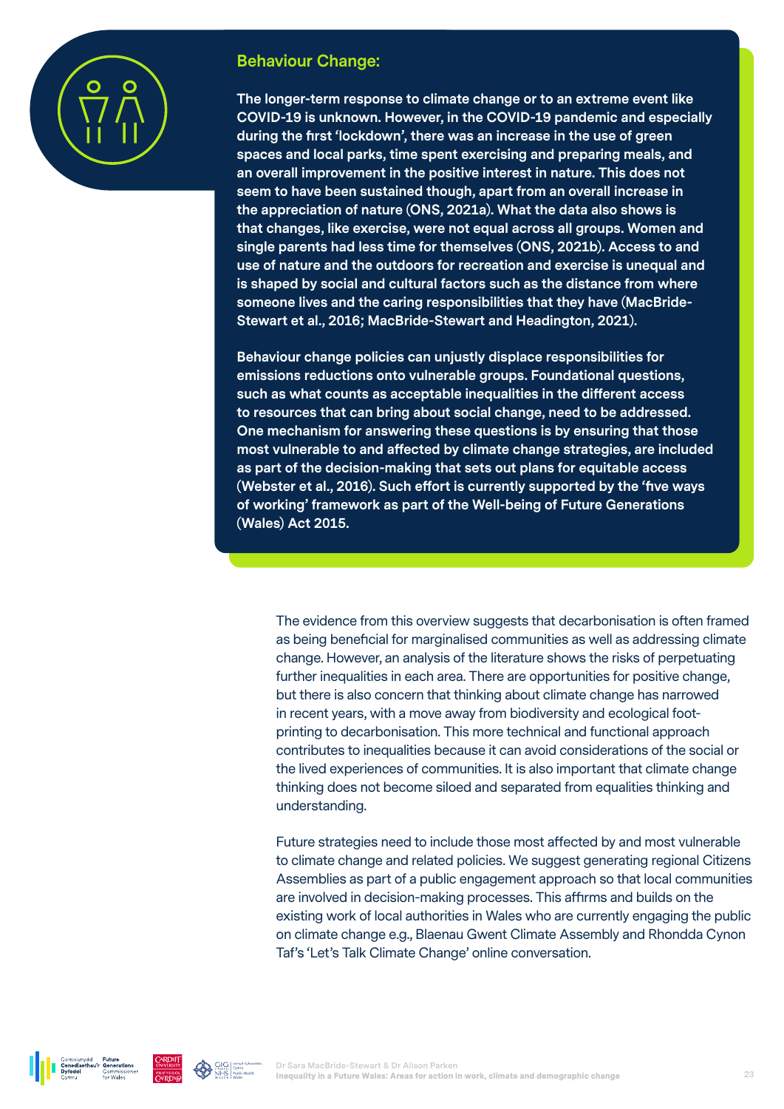

#### **Behaviour Change:**

**The longer-term response to climate change or to an extreme event like COVID-19 is unknown. However, in the COVID-19 pandemic and especially during the first 'lockdown', there was an increase in the use of green spaces and local parks, time spent exercising and preparing meals, and an overall improvement in the positive interest in nature. This does not seem to have been sustained though, apart from an overall increase in the appreciation of nature (ONS, 2021a). What the data also shows is that changes, like exercise, were not equal across all groups. Women and single parents had less time for themselves (ONS, 2021b). Access to and use of nature and the outdoors for recreation and exercise is unequal and is shaped by social and cultural factors such as the distance from where someone lives and the caring responsibilities that they have (MacBride-Stewart et al., 2016; MacBride-Stewart and Headington, 2021).** 

**Behaviour change policies can unjustly displace responsibilities for emissions reductions onto vulnerable groups. Foundational questions, such as what counts as acceptable inequalities in the different access to resources that can bring about social change, need to be addressed. One mechanism for answering these questions is by ensuring that those most vulnerable to and affected by climate change strategies, are included as part of the decision-making that sets out plans for equitable access (Webster et al., 2016). Such effort is currently supported by the 'five ways of working' framework as part of the Well-being of Future Generations (Wales) Act 2015.** 

The evidence from this overview suggests that decarbonisation is often framed as being beneficial for marginalised communities as well as addressing climate change. However, an analysis of the literature shows the risks of perpetuating further inequalities in each area. There are opportunities for positive change, but there is also concern that thinking about climate change has narrowed in recent years, with a move away from biodiversity and ecological footprinting to decarbonisation. This more technical and functional approach contributes to inequalities because it can avoid considerations of the social or the lived experiences of communities. It is also important that climate change thinking does not become siloed and separated from equalities thinking and understanding.

Future strategies need to include those most affected by and most vulnerable to climate change and related policies. We suggest generating regional Citizens Assemblies as part of a public engagement approach so that local communities are involved in decision-making processes. This affirms and builds on the existing work of local authorities in Wales who are currently engaging the public on climate change e.g., Blaenau Gwent Climate Assembly and Rhondda Cynon Taf's 'Let's Talk Climate Change' online conversation.



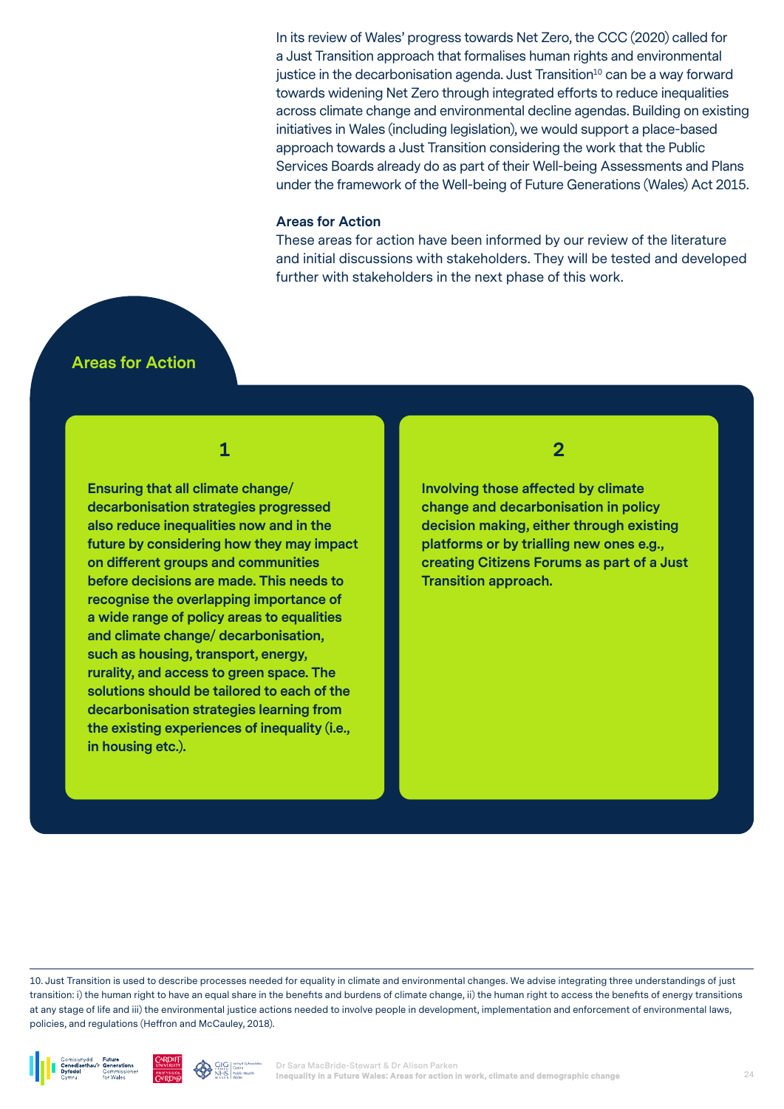In its review of Wales' progress towards Net Zero, the CCC (2020) called for a Just Transition approach that formalises human rights and environmental justice in the decarbonisation agenda. Just Transition $10$  can be a way forward towards widening Net Zero through integrated efforts to reduce inequalities across climate change and environmental decline agendas. Building on existing initiatives in Wales (including legislation), we would support a place-based approach towards a Just Transition considering the work that the Public Services Boards already do as part of their Well-being Assessments and Plans under the framework of the Well-being of Future Generations (Wales) Act 2015.

#### **Areas for Action**

These areas for action have been informed by our review of the literature and initial discussions with stakeholders. They will be tested and developed further with stakeholders in the next phase of this work.

#### **Areas for Action**

**1**

**Ensuring that all climate change/ decarbonisation strategies progressed also reduce inequalities now and in the future by considering how they may impact on different groups and communities before decisions are made. This needs to recognise the overlapping importance of a wide range of policy areas to equalities and climate change/ decarbonisation, such as housing, transport, energy, rurality, and access to green space. The solutions should be tailored to each of the decarbonisation strategies learning from the existing experiences of inequality (i.e., in housing etc.).** 

#### **2**

**Involving those affected by climate change and decarbonisation in policy decision making, either through existing platforms or by trialling new ones e.g., creating Citizens Forums as part of a Just Transition approach.** 

10. Just Transition is used to describe processes needed for equality in climate and environmental changes. We advise integrating three understandings of just transition: i) the human right to have an equal share in the benefits and burdens of climate change, ii) the human right to access the benefits of energy transitions at any stage of life and iii) the environmental justice actions needed to involve people in development, implementation and enforcement of environmental laws, policies, and regulations (Heffron and McCauley, 2018).





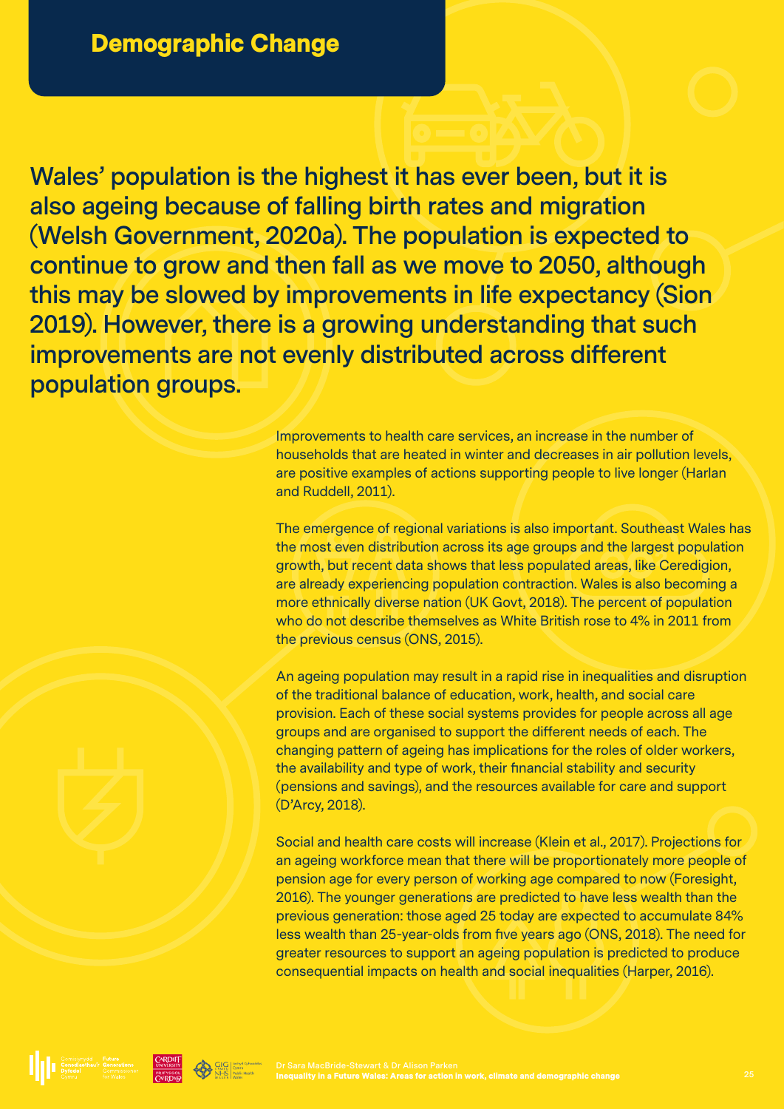**Wales' population is the highest it has ever been, but it is also ageing because of falling birth rates and migration (Welsh Government, 2020a). The population is expected to continue to grow and then fall as we move to 2050, although this may be slowed by improvements in life expectancy (Sion 2019). However, there is a growing understanding that such improvements are not evenly distributed across different population groups.**

> Improvements to health care services, an increase in the number of households that are heated in winter and decreases in air pollution levels, are positive examples of actions supporting people to live longer (Harlan and Ruddell, 2011).

The emergence of regional variations is also important. Southeast Wales has the most even distribution across its age groups and the largest population growth, but recent data shows that less populated areas, like Ceredigion, are already experiencing population contraction. Wales is also becoming a more ethnically diverse nation (UK Govt, 2018). The percent of population who do not describe themselves as White British rose to 4% in 2011 from the previous census (ONS, 2015).

An ageing population may result in a rapid rise in inequalities and disruption of the traditional balance of education, work, health, and social care provision. Each of these social systems provides for people across all age groups and are organised to support the different needs of each. The changing pattern of ageing has implications for the roles of older workers, the availability and type of work, their financial stability and security (pensions and savings), and the resources available for care and support (D'Arcy, 2018).

Social and health care costs will increase (Klein et al., 2017). Projections for an ageing workforce mean that there will be proportionately more people of pension age for every person of working age compared to now (Foresight, 2016). The younger generations are predicted to have less wealth than the previous generation: those aged 25 today are expected to accumulate 84% less wealth than 25-year-olds from five years ago (ONS, 2018). The need for greater resources to support an ageing population is predicted to produce consequential impacts on health and social inequalities (Harper, 2016).

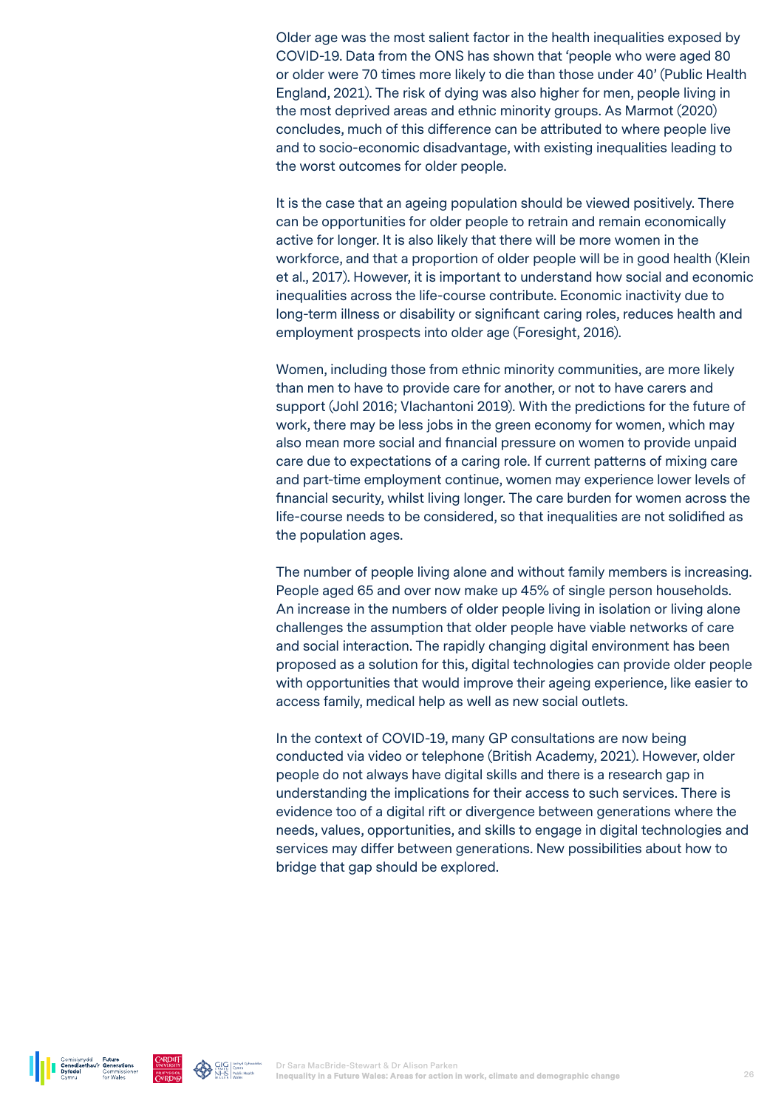Older age was the most salient factor in the health inequalities exposed by COVID-19. Data from the ONS has shown that 'people who were aged 80 or older were 70 times more likely to die than those under 40' (Public Health England, 2021). The risk of dying was also higher for men, people living in the most deprived areas and ethnic minority groups. As Marmot (2020) concludes, much of this difference can be attributed to where people live and to socio-economic disadvantage, with existing inequalities leading to the worst outcomes for older people.

It is the case that an ageing population should be viewed positively. There can be opportunities for older people to retrain and remain economically active for longer. It is also likely that there will be more women in the workforce, and that a proportion of older people will be in good health (Klein et al., 2017). However, it is important to understand how social and economic inequalities across the life-course contribute. Economic inactivity due to long-term illness or disability or significant caring roles, reduces health and employment prospects into older age (Foresight, 2016).

Women, including those from ethnic minority communities, are more likely than men to have to provide care for another, or not to have carers and support (Johl 2016; Vlachantoni 2019). With the predictions for the future of work, there may be less jobs in the green economy for women, which may also mean more social and financial pressure on women to provide unpaid care due to expectations of a caring role. If current patterns of mixing care and part-time employment continue, women may experience lower levels of financial security, whilst living longer. The care burden for women across the life-course needs to be considered, so that inequalities are not solidified as the population ages.

The number of people living alone and without family members is increasing. People aged 65 and over now make up 45% of single person households. An increase in the numbers of older people living in isolation or living alone challenges the assumption that older people have viable networks of care and social interaction. The rapidly changing digital environment has been proposed as a solution for this, digital technologies can provide older people with opportunities that would improve their ageing experience, like easier to access family, medical help as well as new social outlets.

In the context of COVID-19, many GP consultations are now being conducted via video or telephone (British Academy, 2021). However, older people do not always have digital skills and there is a research gap in understanding the implications for their access to such services. There is evidence too of a digital rift or divergence between generations where the needs, values, opportunities, and skills to engage in digital technologies and services may differ between generations. New possibilities about how to bridge that gap should be explored.



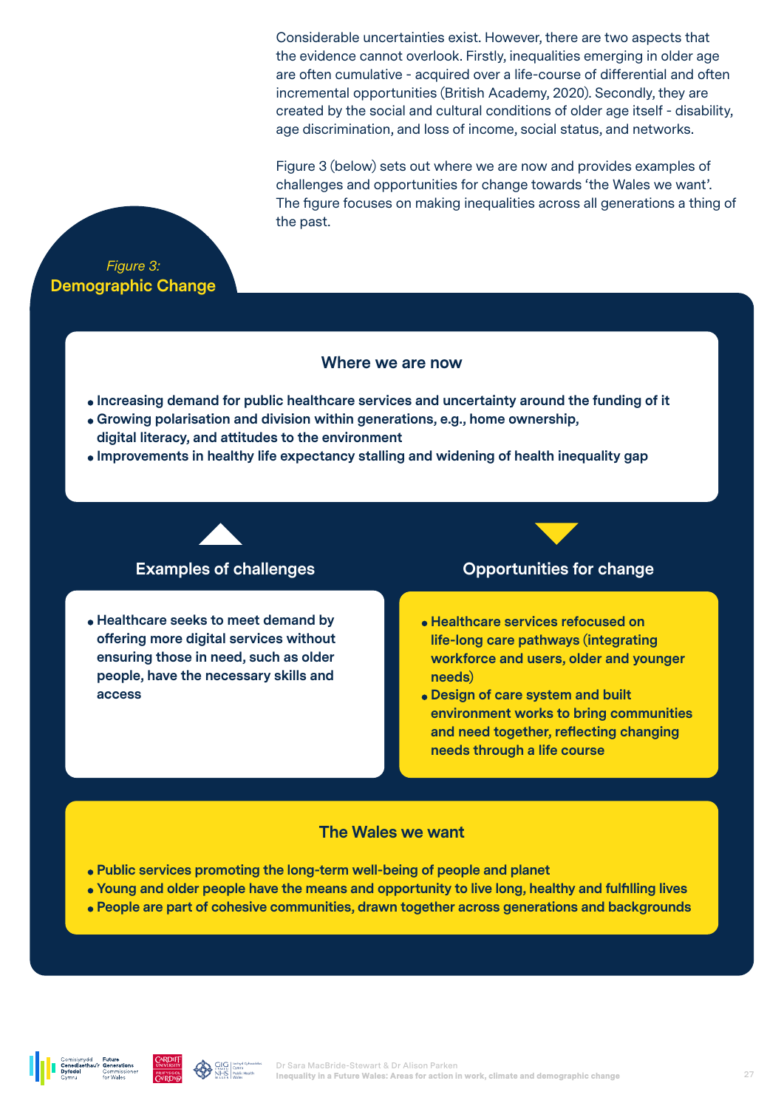Considerable uncertainties exist. However, there are two aspects that the evidence cannot overlook. Firstly, inequalities emerging in older age are often cumulative - acquired over a life-course of differential and often incremental opportunities (British Academy, 2020). Secondly, they are created by the social and cultural conditions of older age itself - disability, age discrimination, and loss of income, social status, and networks.

Figure 3 (below) sets out where we are now and provides examples of challenges and opportunities for change towards 'the Wales we want'. The figure focuses on making inequalities across all generations a thing of the past.



#### **Where we are now**

- **Increasing demand for public healthcare services and uncertainty around the funding of it**
- **Growing polarisation and division within generations, e.g., home ownership, digital literacy, and attitudes to the environment**
- **Improvements in healthy life expectancy stalling and widening of health inequality gap**

**Healthcare seeks to meet demand by offering more digital services without ensuring those in need, such as older people, have the necessary skills and access**

#### **Examples of challenges Construction Construction Construction Construction Construction Construction Construction Construction Construction Construction Construction Construction Construction Construction Construction C**

- **Healthcare services refocused on life-long care pathways (integrating workforce and users, older and younger needs)**
- **Design of care system and built environment works to bring communities and need together, reflecting changing needs through a life course**

#### **The Wales we want**

- **Public services promoting the long-term well-being of people and planet**
- **Young and older people have the means and opportunity to live long, healthy and fulfilling lives**
- **People are part of cohesive communities, drawn together across generations and backgrounds**

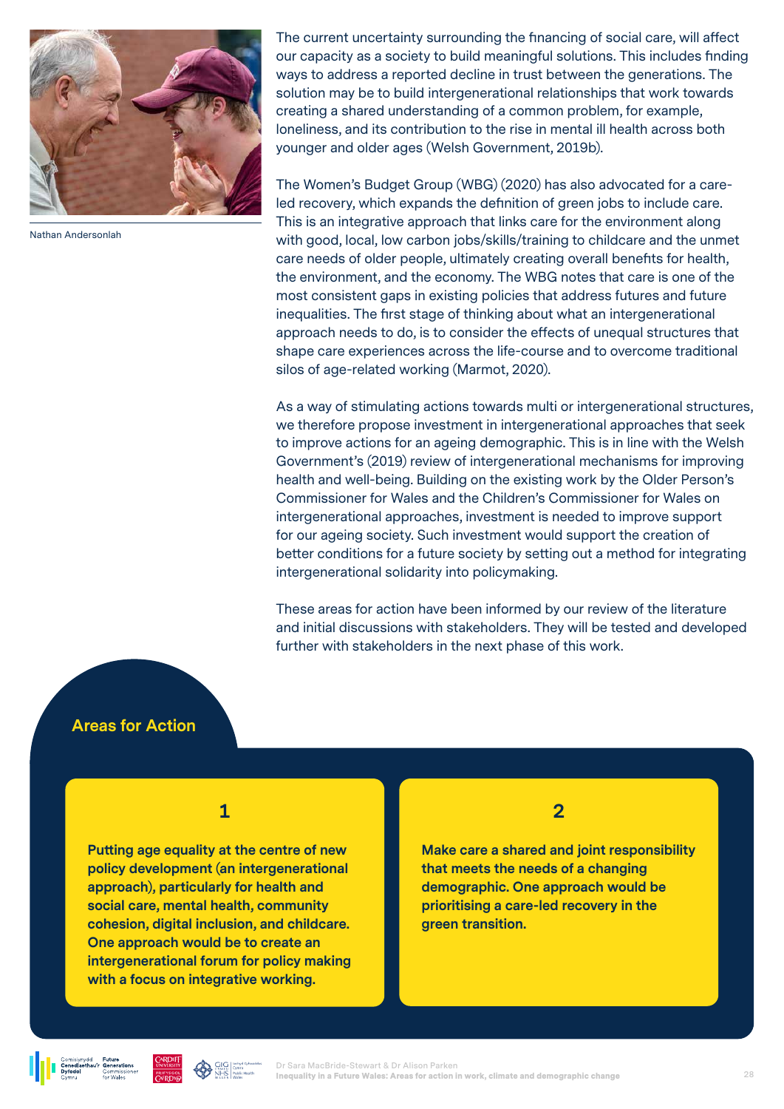

Nathan Andersonlah

The current uncertainty surrounding the financing of social care, will affect our capacity as a society to build meaningful solutions. This includes finding ways to address a reported decline in trust between the generations. The solution may be to build intergenerational relationships that work towards creating a shared understanding of a common problem, for example, loneliness, and its contribution to the rise in mental ill health across both younger and older ages (Welsh Government, 2019b).

The Women's Budget Group (WBG) (2020) has also advocated for a careled recovery, which expands the definition of green jobs to include care. This is an integrative approach that links care for the environment along with good, local, low carbon jobs/skills/training to childcare and the unmet care needs of older people, ultimately creating overall benefits for health, the environment, and the economy. The WBG notes that care is one of the most consistent gaps in existing policies that address futures and future inequalities. The first stage of thinking about what an intergenerational approach needs to do, is to consider the effects of unequal structures that shape care experiences across the life-course and to overcome traditional silos of age-related working (Marmot, 2020).

As a way of stimulating actions towards multi or intergenerational structures, we therefore propose investment in intergenerational approaches that seek to improve actions for an ageing demographic. This is in line with the Welsh Government's (2019) review of intergenerational mechanisms for improving health and well-being. Building on the existing work by the Older Person's Commissioner for Wales and the Children's Commissioner for Wales on intergenerational approaches, investment is needed to improve support for our ageing society. Such investment would support the creation of better conditions for a future society by setting out a method for integrating intergenerational solidarity into policymaking.

These areas for action have been informed by our review of the literature and initial discussions with stakeholders. They will be tested and developed further with stakeholders in the next phase of this work.

#### **Areas for Action**

**1**

**Putting age equality at the centre of new policy development (an intergenerational approach), particularly for health and social care, mental health, community cohesion, digital inclusion, and childcare. One approach would be to create an intergenerational forum for policy making with a focus on integrative working.** 

**2**

**Make care a shared and joint responsibility that meets the needs of a changing demographic. One approach would be prioritising a care-led recovery in the green transition.**



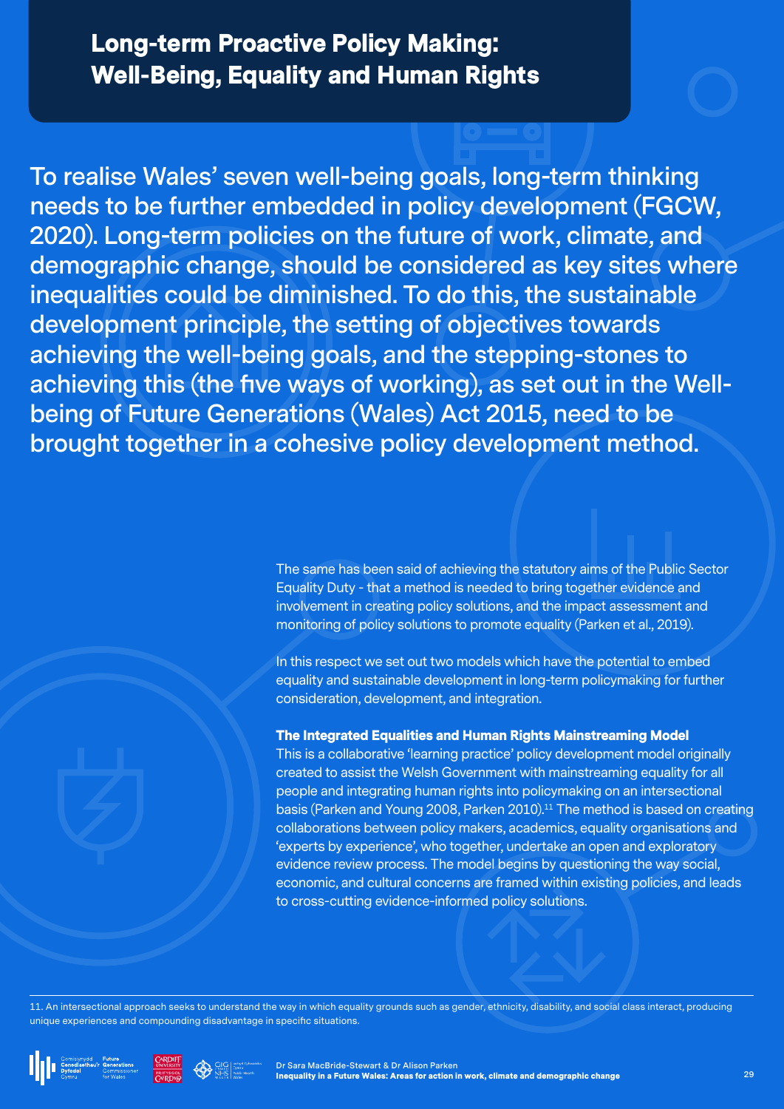## Long-term Proactive Policy Making: Well-Being, Equality and Human Rights

**To realise Wales' seven well-being goals, long-term thinking needs to be further embedded in policy development (FGCW, 2020). Long-term policies on the future of work, climate, and demographic change, should be considered as key sites where inequalities could be diminished. To do this, the sustainable development principle, the setting of objectives towards achieving the well-being goals, and the stepping-stones to achieving this (the five ways of working), as set out in the Wellbeing of Future Generations (Wales) Act 2015, need to be brought together in a cohesive policy development method.**

> The same has been said of achieving the statutory aims of the Public Sector Equality Duty - that a method is needed to bring together evidence and involvement in creating policy solutions, and the impact assessment and monitoring of policy solutions to promote equality (Parken et al., 2019).

In this respect we set out two models which have the potential to embed equality and sustainable development in long-term policymaking for further consideration, development, and integration.

#### The Integrated Equalities and Human Rights Mainstreaming Model

This is a collaborative 'learning practice' policy development model originally created to assist the Welsh Government with mainstreaming equality for all people and integrating human rights into policymaking on an intersectional basis (Parken and Young 2008, Parken 2010).<sup>11</sup> The method is based on creating collaborations between policy makers, academics, equality organisations and 'experts by experience', who together, undertake an open and exploratory evidence review process. The model begins by questioning the way social, economic, and cultural concerns are framed within existing policies, and leads to cross-cutting evidence-informed policy solutions.

11. An intersectional approach seeks to understand the way in which equality grounds such as gender, ethnicity, disability, and social class interact, producing unique experiences and compounding disadvantage in specific situations.







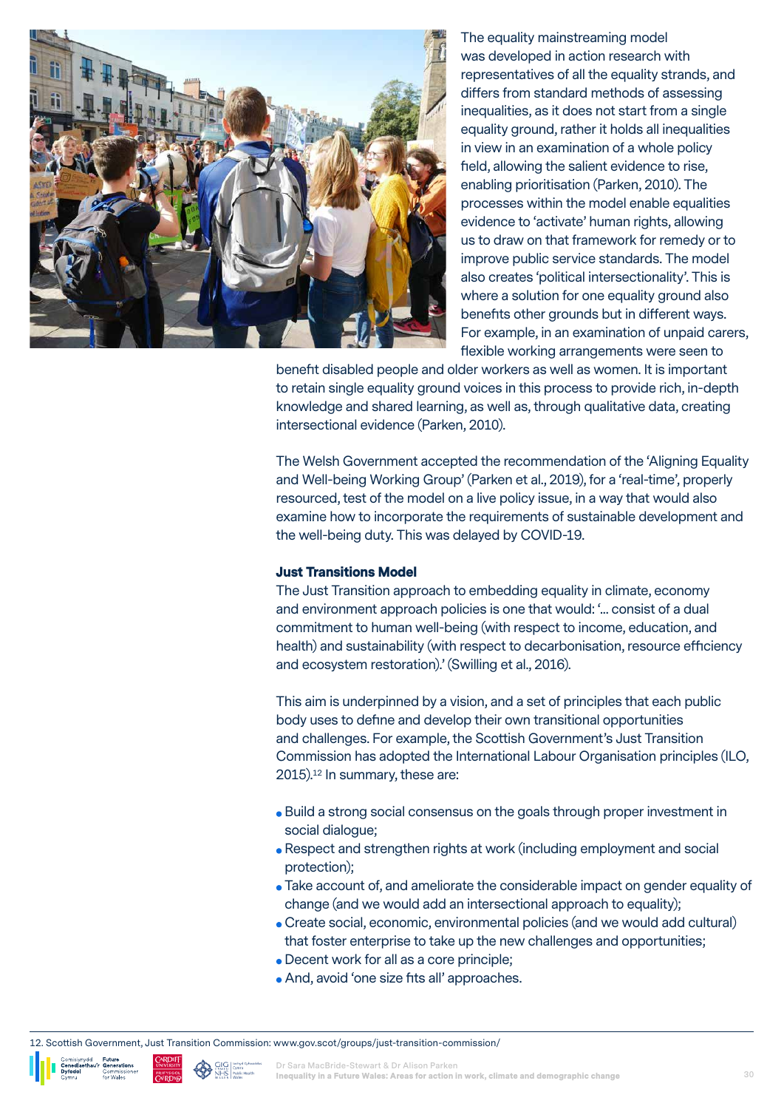

The equality mainstreaming model was developed in action research with representatives of all the equality strands, and differs from standard methods of assessing inequalities, as it does not start from a single equality ground, rather it holds all inequalities in view in an examination of a whole policy field, allowing the salient evidence to rise, enabling prioritisation (Parken, 2010). The processes within the model enable equalities evidence to 'activate' human rights, allowing us to draw on that framework for remedy or to improve public service standards. The model also creates 'political intersectionality'. This is where a solution for one equality ground also benefits other grounds but in different ways. For example, in an examination of unpaid carers, flexible working arrangements were seen to

benefit disabled people and older workers as well as women. It is important to retain single equality ground voices in this process to provide rich, in-depth knowledge and shared learning, as well as, through qualitative data, creating intersectional evidence (Parken, 2010).

The Welsh Government accepted the recommendation of the 'Aligning Equality and Well-being Working Group' (Parken et al., 2019), for a 'real-time', properly resourced, test of the model on a live policy issue, in a way that would also examine how to incorporate the requirements of sustainable development and the well-being duty. This was delayed by COVID-19.

#### Just Transitions Model

The Just Transition approach to embedding equality in climate, economy and environment approach policies is one that would: '... consist of a dual commitment to human well-being (with respect to income, education, and health) and sustainability (with respect to decarbonisation, resource efficiency and ecosystem restoration).' (Swilling et al., 2016).

This aim is underpinned by a vision, and a set of principles that each public body uses to define and develop their own transitional opportunities and challenges. For example, the Scottish Government's Just Transition Commission has adopted the International Labour Organisation principles (ILO, 2015).12 In summary, these are:

- Build a strong social consensus on the goals through proper investment in social dialogue;
- Respect and strengthen rights at work (including employment and social protection);
- Take account of, and ameliorate the considerable impact on gender equality of change (and we would add an intersectional approach to equality);
- Create social, economic, environmental policies (and we would add cultural) that foster enterprise to take up the new challenges and opportunities;
- Decent work for all as a core principle;
- And, avoid 'one size fits all' approaches.

12. Scottish Government, Just Transition Commission: www.gov.scot/groups/just-transition-commission/



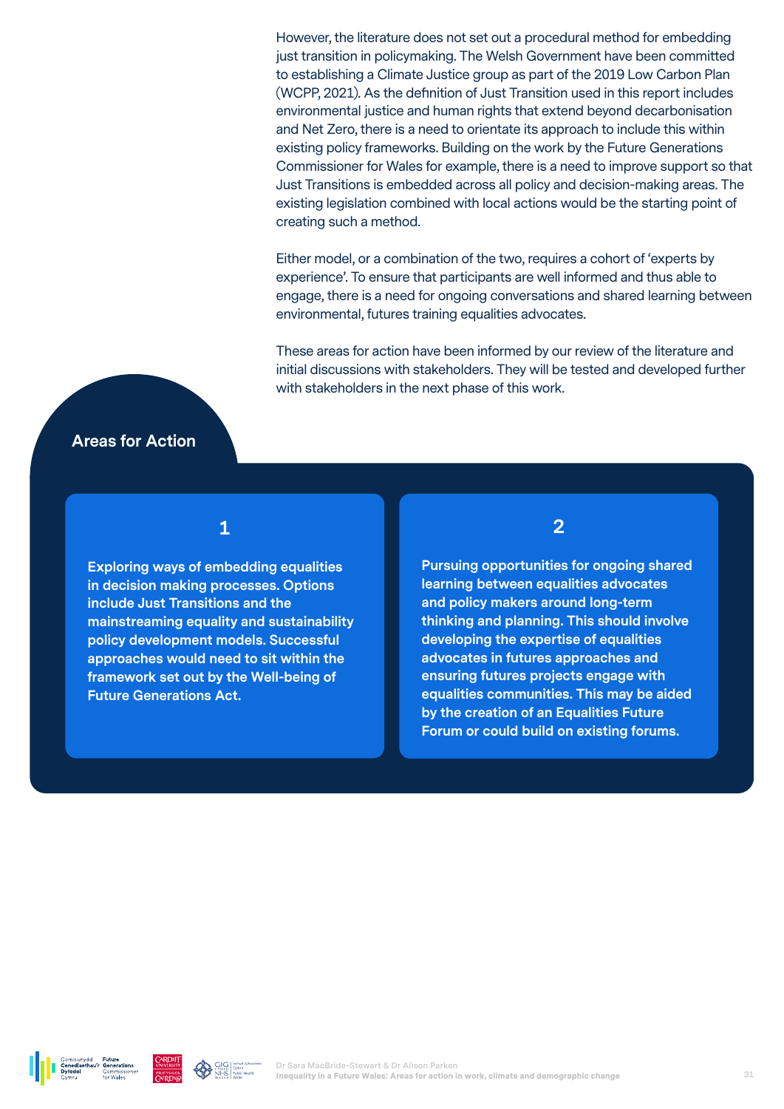However, the literature does not set out a procedural method for embedding just transition in policymaking. The Welsh Government have been committed to establishing a Climate Justice group as part of the 2019 Low Carbon Plan (WCPP, 2021). As the definition of Just Transition used in this report includes environmental justice and human rights that extend beyond decarbonisation and Net Zero, there is a need to orientate its approach to include this within existing policy frameworks. Building on the work by the Future Generations Commissioner for Wales for example, there is a need to improve support so that Just Transitions is embedded across all policy and decision-making areas. The existing legislation combined with local actions would be the starting point of creating such a method.

Either model, or a combination of the two, requires a cohort of 'experts by experience'. To ensure that participants are well informed and thus able to engage, there is a need for ongoing conversations and shared learning between environmental, futures training equalities advocates.

These areas for action have been informed by our review of the literature and initial discussions with stakeholders. They will be tested and developed further with stakeholders in the next phase of this work.

#### **Areas for Action**

#### **1**

**Exploring ways of embedding equalities in decision making processes. Options include Just Transitions and the mainstreaming equality and sustainability policy development models. Successful approaches would need to sit within the framework set out by the Well-being of Future Generations Act.** 

**2**

**Pursuing opportunities for ongoing shared learning between equalities advocates and policy makers around long-term thinking and planning. This should involve developing the expertise of equalities advocates in futures approaches and ensuring futures projects engage with equalities communities. This may be aided by the creation of an Equalities Future Forum or could build on existing forums.** 



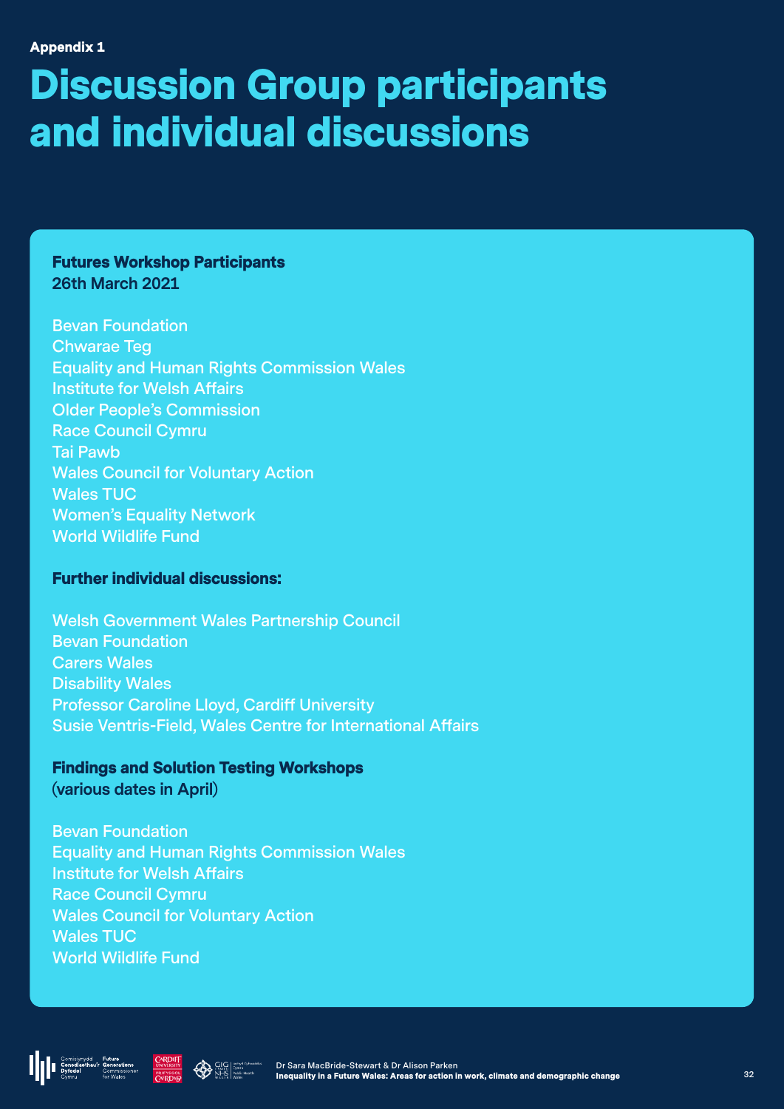## Discussion Group participants and individual discussions

Futures Workshop Participants **26th March 2021**

**Bevan Foundation Chwarae Teg Equality and Human Rights Commission Wales Institute for Welsh Affairs Older People's Commission Race Council Cymru Tai Pawb Wales Council for Voluntary Action Wales TUC Women's Equality Network World Wildlife Fund**

#### Further individual discussions:

**Welsh Government Wales Partnership Council Bevan Foundation Carers Wales Disability Wales Professor Caroline Lloyd, Cardiff University Susie Ventris-Field, Wales Centre for International Affairs**

Findings and Solution Testing Workshops **(various dates in April)**

**Bevan Foundation Equality and Human Rights Commission Wales Institute for Welsh Affairs Race Council Cymru Wales Council for Voluntary Action Wales TUC World Wildlife Fund**





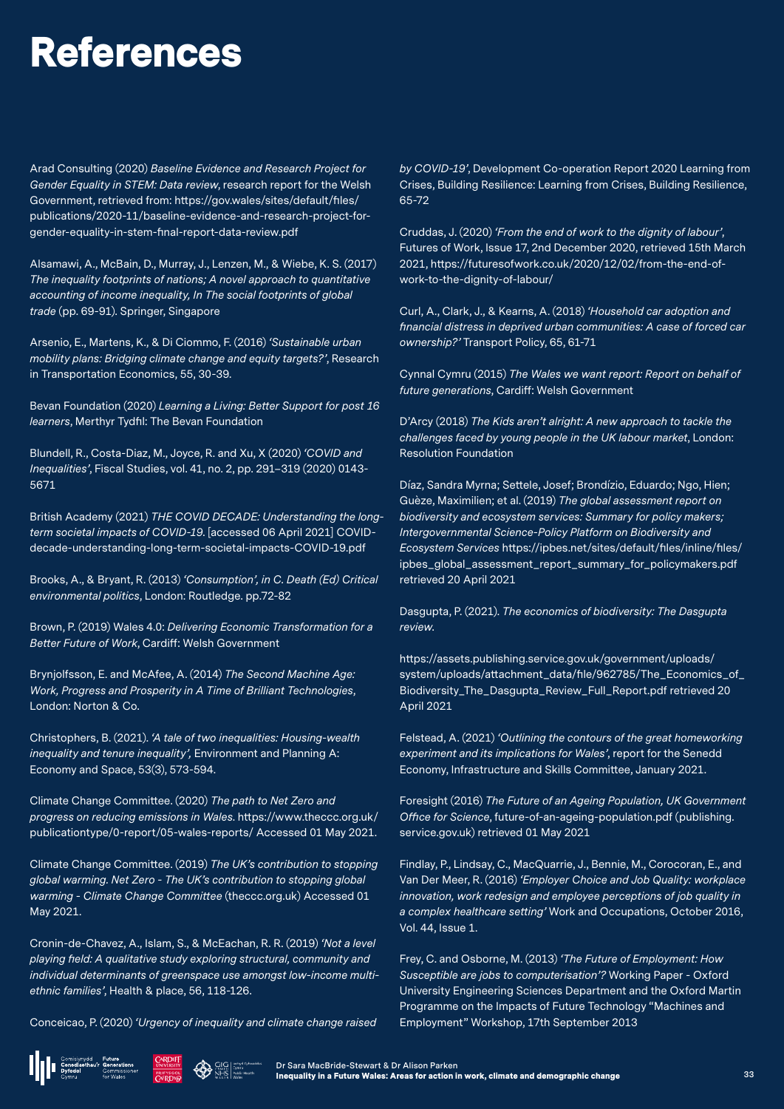## References

Arad Consulting (2020) *Baseline Evidence and Research Project for Gender Equality in STEM: Data review*, research report for the Welsh Government, retrieved from: https://gov.wales/sites/default/files/ publications/2020-11/baseline-evidence-and-research-project-forgender-equality-in-stem-final-report-data-review.pdf

Alsamawi, A., McBain, D., Murray, J., Lenzen, M., & Wiebe, K. S. (2017) *The inequality footprints of nations; A novel approach to quantitative accounting of income inequality, In The social footprints of global trade* (pp. 69-91). Springer, Singapore

Arsenio, E., Martens, K., & Di Ciommo, F. (2016) *'Sustainable urban mobility plans: Bridging climate change and equity targets?'*, Research in Transportation Economics, 55, 30-39.

Bevan Foundation (2020) *Learning a Living: Better Support for post 16 learners*, Merthyr Tydfil: The Bevan Foundation

Blundell, R., Costa-Diaz, M., Joyce, R. and Xu, X (2020) *'COVID and Inequalities'*, Fiscal Studies, vol. 41, no. 2, pp. 291–319 (2020) 0143- 5671

British Academy (2021) *THE COVID DECADE: Understanding the longterm societal impacts of COVID-19*. [accessed 06 April 2021] COVIDdecade-understanding-long-term-societal-impacts-COVID-19.pdf

Brooks, A., & Bryant, R. (2013) *'Consumption', in C. Death (Ed) Critical environmental politics*, London: Routledge. pp.72-82

Brown, P. (2019) Wales 4.0: *Delivering Economic Transformation for a Better Future of Work*, Cardiff: Welsh Government

Brynjolfsson, E. and McAfee, A. (2014) *The Second Machine Age: Work, Progress and Prosperity in A Time of Brilliant Technologies*, London: Norton & Co.

Christophers, B. (2021). *'A tale of two inequalities: Housing-wealth inequality and tenure inequality',* Environment and Planning A: Economy and Space, 53(3), 573-594.

Climate Change Committee. (2020) *The path to Net Zero and progress on reducing emissions in Wales*. https://www.theccc.org.uk/ publicationtype/0-report/05-wales-reports/ Accessed 01 May 2021.

Climate Change Committee. (2019) *The UK's contribution to stopping global warming. Net Zero - The UK's contribution to stopping global warming - Climate Change Committee* (theccc.org.uk) Accessed 01 May 2021.

Cronin-de-Chavez, A., Islam, S., & McEachan, R. R. (2019) *'Not a level playing field: A qualitative study exploring structural, community and individual determinants of greenspace use amongst low-income multiethnic families'*, Health & place, 56, 118-126.

Conceicao, P. (2020) *'Urgency of inequality and climate change raised* 





*by COVID-19'*, Development Co-operation Report 2020 Learning from Crises, Building Resilience: Learning from Crises, Building Resilience, 65-72

Cruddas, J. (2020) *'From the end of work to the dignity of labour'*, Futures of Work, Issue 17, 2nd December 2020, retrieved 15th March 2021, https://futuresofwork.co.uk/2020/12/02/from-the-end-ofwork-to-the-dignity-of-labour/

Curl, A., Clark, J., & Kearns, A. (2018) *'Household car adoption and financial distress in deprived urban communities: A case of forced car ownership?'* Transport Policy, 65, 61-71

Cynnal Cymru (2015) *The Wales we want report: Report on behalf of future generations*, Cardiff: Welsh Government

D'Arcy (2018) *The Kids aren't alright: A new approach to tackle the challenges faced by young people in the UK labour market*, London: Resolution Foundation

Díaz, Sandra Myrna; Settele, Josef; Brondízio, Eduardo; Ngo, Hien; Guèze, Maximilien; et al. (2019) *The global assessment report on biodiversity and ecosystem services: Summary for policy makers; Intergovernmental Science-Policy Platform on Biodiversity and Ecosystem Services* https://ipbes.net/sites/default/files/inline/files/ ipbes\_global\_assessment\_report\_summary\_for\_policymakers.pdf retrieved 20 April 2021

Dasgupta, P. (2021). *The economics of biodiversity: The Dasgupta review*.

https://assets.publishing.service.gov.uk/government/uploads/ system/uploads/attachment\_data/file/962785/The\_Economics\_of\_ Biodiversity\_The\_Dasgupta\_Review\_Full\_Report.pdf retrieved 20 April 2021

Felstead, A. (2021) *'Outlining the contours of the great homeworking experiment and its implications for Wales'*, report for the Senedd Economy, Infrastructure and Skills Committee, January 2021.

Foresight (2016) *The Future of an Ageing Population, UK Government Office for Science*, future-of-an-ageing-population.pdf (publishing. service.gov.uk) retrieved 01 May 2021

Findlay, P., Lindsay, C., MacQuarrie, J., Bennie, M., Corocoran, E., and Van Der Meer, R. (2016) *'Employer Choice and Job Quality: workplace innovation, work redesign and employee perceptions of job quality in a complex healthcare setting'* Work and Occupations, October 2016, Vol. 44, Issue 1.

Frey, C. and Osborne, M. (2013) *'The Future of Employment: How Susceptible are jobs to computerisation'?* Working Paper - Oxford University Engineering Sciences Department and the Oxford Martin Programme on the Impacts of Future Technology "Machines and Employment" Workshop, 17th September 2013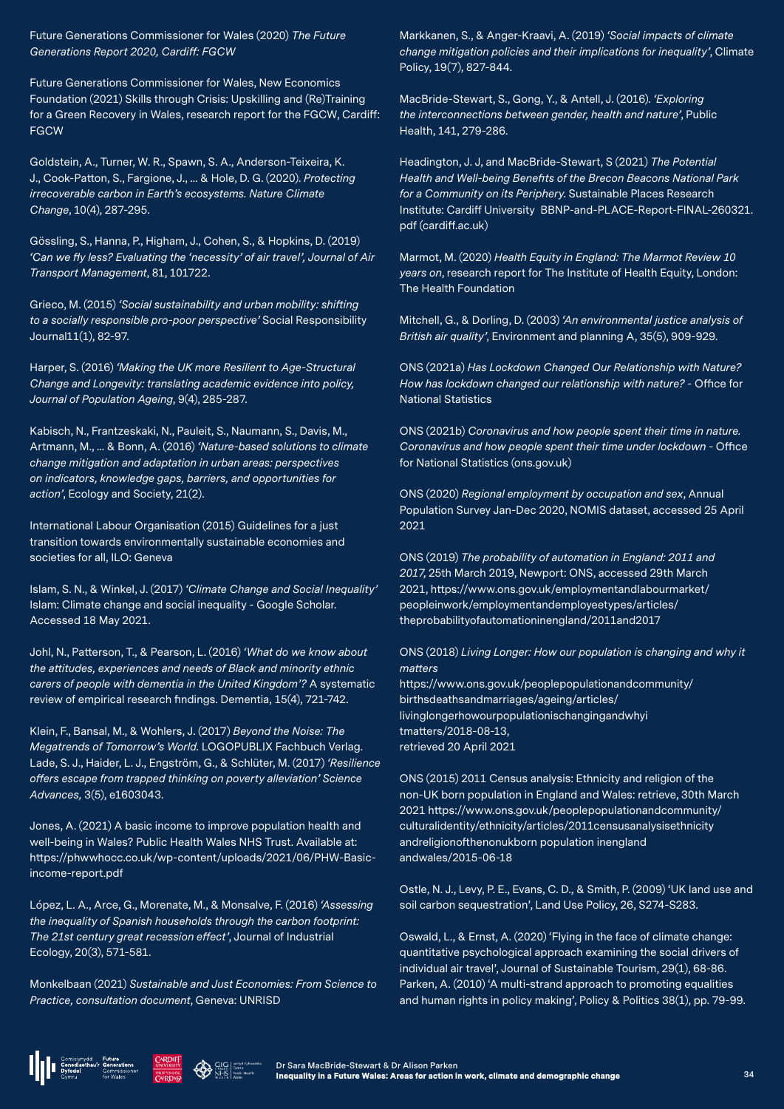Future Generations Commissioner for Wales (2020) *The Future Generations Report 2020, Cardiff: FGCW*

Future Generations Commissioner for Wales, New Economics Foundation (2021) Skills through Crisis: Upskilling and (Re)Training for a Green Recovery in Wales, research report for the FGCW, Cardiff: **FGCW** 

Goldstein, A., Turner, W. R., Spawn, S. A., Anderson-Teixeira, K. J., Cook-Patton, S., Fargione, J., ... & Hole, D. G. (2020). *Protecting irrecoverable carbon in Earth's ecosystems. Nature Climate Change*, 10(4), 287-295.

Gössling, S., Hanna, P., Higham, J., Cohen, S., & Hopkins, D. (2019) *'Can we fly less? Evaluating the 'necessity' of air travel', Journal of Air Transport Management*, 81, 101722.

Grieco, M. (2015) *'Social sustainability and urban mobility: shifting to a socially responsible pro-poor perspective'* Social Responsibility Journal11(1), 82-97.

Harper, S. (2016) *'Making the UK more Resilient to Age-Structural Change and Longevity: translating academic evidence into policy, Journal of Population Ageing*, 9(4), 285-287.

Kabisch, N., Frantzeskaki, N., Pauleit, S., Naumann, S., Davis, M., Artmann, M., ... & Bonn, A. (2016) *'Nature-based solutions to climate change mitigation and adaptation in urban areas: perspectives on indicators, knowledge gaps, barriers, and opportunities for action'*, Ecology and Society, 21(2).

International Labour Organisation (2015) Guidelines for a just transition towards environmentally sustainable economies and societies for all, ILO: Geneva

Islam, S. N., & Winkel, J. (2017) *'Climate Change and Social Inequality'* Islam: Climate change and social inequality - Google Scholar. Accessed 18 May 2021.

Johl, N., Patterson, T., & Pearson, L. (2016) *'What do we know about the attitudes, experiences and needs of Black and minority ethnic carers of people with dementia in the United Kingdom'?* A systematic review of empirical research findings. Dementia, 15(4), 721-742.

Klein, F., Bansal, M., & Wohlers, J. (2017) *Beyond the Noise: The Megatrends of Tomorrow's World.* LOGOPUBLIX Fachbuch Verlag. Lade, S. J., Haider, L. J., Engström, G., & Schlüter, M. (2017) *'Resilience offers escape from trapped thinking on poverty alleviation' Science Advances,* 3(5), e1603043.

Jones, A. (2021) A basic income to improve population health and well-being in Wales? Public Health Wales NHS Trust. Available at: https://phwwhocc.co.uk/wp-content/uploads/2021/06/PHW-Basicincome-report.pdf

López, L. A., Arce, G., Morenate, M., & Monsalve, F. (2016) *'Assessing the inequality of Spanish households through the carbon footprint: The 21st century great recession effect'*, Journal of Industrial Ecology, 20(3), 571-581.

Monkelbaan (2021) *Sustainable and Just Economies: From Science to Practice, consultation document*, Geneva: UNRISD

Markkanen, S., & Anger-Kraavi, A. (2019) *'Social impacts of climate change mitigation policies and their implications for inequality'*, Climate Policy, 19(7), 827-844.

MacBride-Stewart, S., Gong, Y., & Antell, J. (2016). *'Exploring the interconnections between gender, health and nature'*, Public Health, 141, 279-286.

Headington, J. J, and MacBride-Stewart, S (2021) *The Potential Health and Well-being Benefits of the Brecon Beacons National Park for a Community on its Periphery*. Sustainable Places Research Institute: Cardiff University BBNP-and-PLACE-Report-FINAL-260321. pdf (cardiff.ac.uk)

Marmot, M. (2020) *Health Equity in England: The Marmot Review 10 years on*, research report for The Institute of Health Equity, London: The Health Foundation

Mitchell, G., & Dorling, D. (2003) *'An environmental justice analysis of British air quality'*, Environment and planning A, 35(5), 909-929.

ONS (2021a) *Has Lockdown Changed Our Relationship with Nature? How has lockdown changed our relationship with nature?* - Office for National Statistics

ONS (2021b) *Coronavirus and how people spent their time in nature. Coronavirus and how people spent their time under lockdown* - Office for National Statistics (ons.gov.uk)

ONS (2020) *Regional employment by occupation and sex*, Annual Population Survey Jan-Dec 2020, NOMIS dataset, accessed 25 April 2021

ONS (2019) *The probability of automation in England: 2011 and 2017*, 25th March 2019, Newport: ONS, accessed 29th March 2021, https://www.ons.gov.uk/employmentandlabourmarket/ peopleinwork/employmentandemployeetypes/articles/ theprobabilityofautomationinengland/2011and2017

ONS (2018) *Living Longer: How our population is changing and why it matters*

https://www.ons.gov.uk/peoplepopulationandcommunity/ birthsdeathsandmarriages/ageing/articles/ livinglongerhowourpopulationischangingandwhyi tmatters/2018-08-13, retrieved 20 April 2021

ONS (2015) 2011 Census analysis: Ethnicity and religion of the non-UK born population in England and Wales: retrieve, 30th March 2021 https://www.ons.gov.uk/peoplepopulationandcommunity/ culturalidentity/ethnicity/articles/2011censusanalysisethnicity andreligionofthenonukborn population inengland andwales/2015-06-18

Ostle, N. J., Levy, P. E., Evans, C. D., & Smith, P. (2009) 'UK land use and soil carbon sequestration', Land Use Policy, 26, S274-S283.

Oswald, L., & Ernst, A. (2020) 'Flying in the face of climate change: quantitative psychological approach examining the social drivers of individual air travel', Journal of Sustainable Tourism, 29(1), 68-86. Parken, A. (2010) 'A multi-strand approach to promoting equalities and human rights in policy making', Policy & Politics 38(1), pp. 79-99.





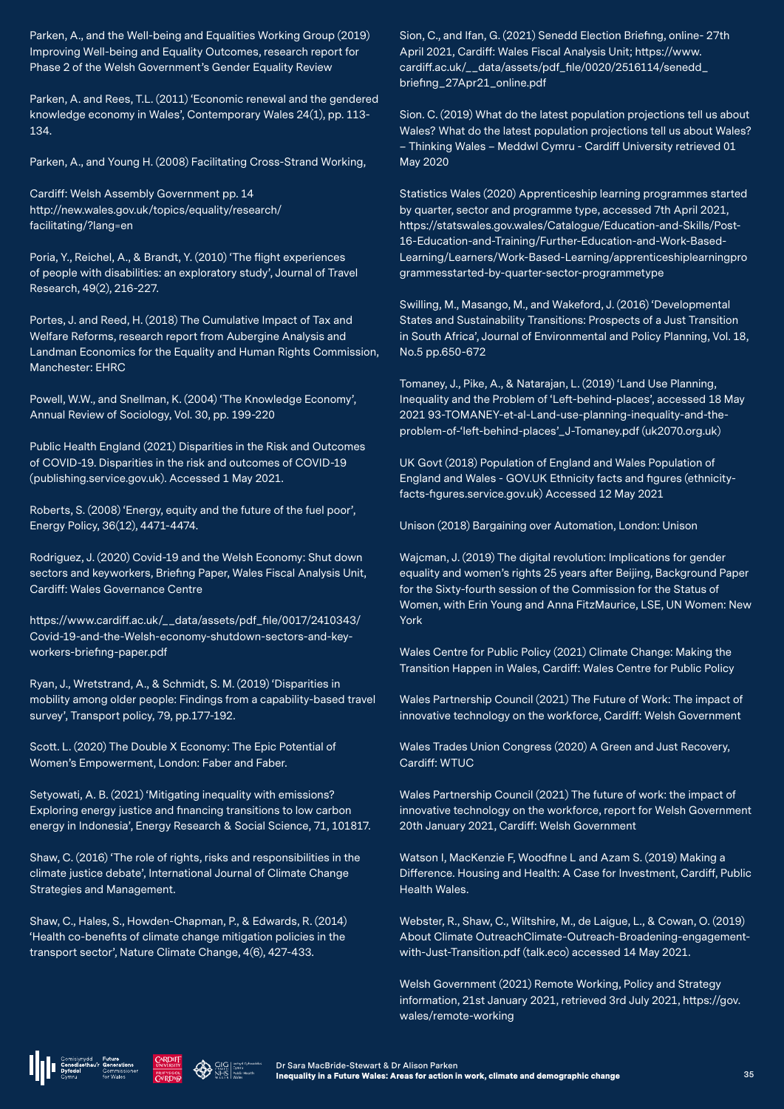Parken, A., and the Well-being and Equalities Working Group (2019) Improving Well-being and Equality Outcomes, research report for Phase 2 of the Welsh Government's Gender Equality Review

Parken, A. and Rees, T.L. (2011) 'Economic renewal and the gendered knowledge economy in Wales', Contemporary Wales 24(1), pp. 113- 134.

Parken, A., and Young H. (2008) Facilitating Cross-Strand Working,

Cardiff: Welsh Assembly Government pp. 14 http://new.wales.gov.uk/topics/equality/research/ facilitating/?lang=en

Poria, Y., Reichel, A., & Brandt, Y. (2010) 'The flight experiences of people with disabilities: an exploratory study', Journal of Travel Research, 49(2), 216-227.

Portes, J. and Reed, H. (2018) The Cumulative Impact of Tax and Welfare Reforms, research report from Aubergine Analysis and Landman Economics for the Equality and Human Rights Commission, Manchester: EHRC

Powell, W.W., and Snellman, K. (2004) 'The Knowledge Economy', Annual Review of Sociology, Vol. 30, pp. 199-220

Public Health England (2021) Disparities in the Risk and Outcomes of COVID-19. Disparities in the risk and outcomes of COVID-19 (publishing.service.gov.uk). Accessed 1 May 2021.

Roberts, S. (2008) 'Energy, equity and the future of the fuel poor', Energy Policy, 36(12), 4471-4474.

Rodriguez, J. (2020) Covid-19 and the Welsh Economy: Shut down sectors and keyworkers, Briefing Paper, Wales Fiscal Analysis Unit, Cardiff: Wales Governance Centre

https://www.cardiff.ac.uk/\_\_data/assets/pdf\_file/0017/2410343/ Covid-19-and-the-Welsh-economy-shutdown-sectors-and-keyworkers-briefing-paper.pdf

Ryan, J., Wretstrand, A., & Schmidt, S. M. (2019) 'Disparities in mobility among older people: Findings from a capability-based travel survey', Transport policy, 79, pp.177-192.

Scott. L. (2020) The Double X Economy: The Epic Potential of Women's Empowerment, London: Faber and Faber.

Setyowati, A. B. (2021) 'Mitigating inequality with emissions? Exploring energy justice and financing transitions to low carbon energy in Indonesia', Energy Research & Social Science, 71, 101817.

Shaw, C. (2016) 'The role of rights, risks and responsibilities in the climate justice debate', International Journal of Climate Change Strategies and Management.

Shaw, C., Hales, S., Howden-Chapman, P., & Edwards, R. (2014) 'Health co-benefits of climate change mitigation policies in the transport sector', Nature Climate Change, 4(6), 427-433.

Sion, C., and Ifan, G. (2021) Senedd Election Briefing, online- 27th April 2021, Cardiff: Wales Fiscal Analysis Unit; https://www. cardiff.ac.uk/\_\_data/assets/pdf\_file/0020/2516114/senedd\_ briefing\_27Apr21\_online.pdf

Sion. C. (2019) What do the latest population projections tell us about Wales? What do the latest population projections tell us about Wales? – Thinking Wales – Meddwl Cymru - Cardiff University retrieved 01 May 2020

Statistics Wales (2020) Apprenticeship learning programmes started by quarter, sector and programme type, accessed 7th April 2021, https://statswales.gov.wales/Catalogue/Education-and-Skills/Post-16-Education-and-Training/Further-Education-and-Work-Based-Learning/Learners/Work-Based-Learning/apprenticeshiplearningpro grammesstarted-by-quarter-sector-programmetype

Swilling, M., Masango, M., and Wakeford, J. (2016) 'Developmental States and Sustainability Transitions: Prospects of a Just Transition in South Africa', Journal of Environmental and Policy Planning, Vol. 18, No.5 pp.650-672

Tomaney, J., Pike, A., & Natarajan, L. (2019) 'Land Use Planning, Inequality and the Problem of 'Left-behind-places', accessed 18 May 2021 93-TOMANEY-et-al-Land-use-planning-inequality-and-theproblem-of-'left-behind-places'\_J-Tomaney.pdf (uk2070.org.uk)

UK Govt (2018) Population of England and Wales Population of England and Wales - GOV.UK Ethnicity facts and figures (ethnicityfacts-figures.service.gov.uk) Accessed 12 May 2021

Unison (2018) Bargaining over Automation, London: Unison

Wajcman, J. (2019) The digital revolution: Implications for gender equality and women's rights 25 years after Beijing, Background Paper for the Sixty-fourth session of the Commission for the Status of Women, with Erin Young and Anna FitzMaurice, LSE, UN Women: New York

Wales Centre for Public Policy (2021) Climate Change: Making the Transition Happen in Wales, Cardiff: Wales Centre for Public Policy

Wales Partnership Council (2021) The Future of Work: The impact of innovative technology on the workforce, Cardiff: Welsh Government

Wales Trades Union Congress (2020) A Green and Just Recovery, Cardiff<sup>.</sup> WTLIC

Wales Partnership Council (2021) The future of work: the impact of innovative technology on the workforce, report for Welsh Government 20th January 2021, Cardiff: Welsh Government

Watson I, MacKenzie F, Woodfine L and Azam S. (2019) Making a Difference. Housing and Health: A Case for Investment, Cardiff, Public Health Wales.

Webster, R., Shaw, C., Wiltshire, M., de Laigue, L., & Cowan, O. (2019) About Climate OutreachClimate-Outreach-Broadening-engagementwith-Just-Transition.pdf (talk.eco) accessed 14 May 2021.

Welsh Government (2021) Remote Working, Policy and Strategy information, 21st January 2021, retrieved 3rd July 2021, https://gov. wales/remote-working